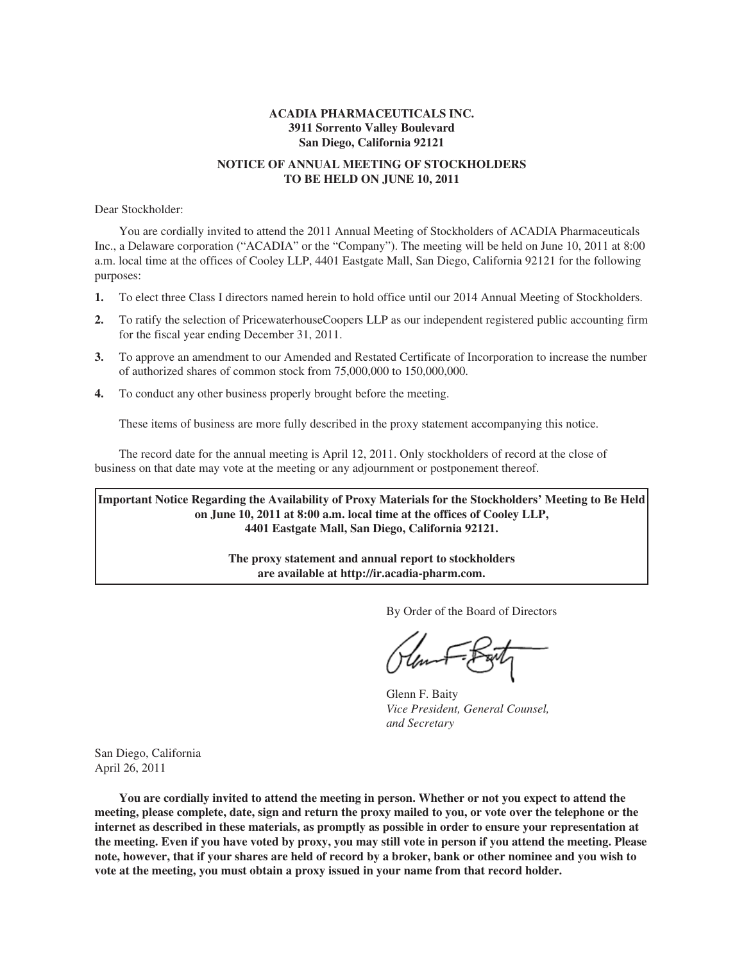# **ACADIA PHARMACEUTICALS INC. 3911 Sorrento Valley Boulevard San Diego, California 92121**

# **NOTICE OF ANNUAL MEETING OF STOCKHOLDERS TO BE HELD ON JUNE 10, 2011**

Dear Stockholder:

You are cordially invited to attend the 2011 Annual Meeting of Stockholders of ACADIA Pharmaceuticals Inc., a Delaware corporation ("ACADIA" or the "Company"). The meeting will be held on June 10, 2011 at 8:00 a.m. local time at the offices of Cooley LLP, 4401 Eastgate Mall, San Diego, California 92121 for the following purposes:

- **1.** To elect three Class I directors named herein to hold office until our 2014 Annual Meeting of Stockholders.
- **2.** To ratify the selection of PricewaterhouseCoopers LLP as our independent registered public accounting firm for the fiscal year ending December 31, 2011.
- **3.** To approve an amendment to our Amended and Restated Certificate of Incorporation to increase the number of authorized shares of common stock from 75,000,000 to 150,000,000.
- **4.** To conduct any other business properly brought before the meeting.

These items of business are more fully described in the proxy statement accompanying this notice.

The record date for the annual meeting is April 12, 2011. Only stockholders of record at the close of business on that date may vote at the meeting or any adjournment or postponement thereof.

**Important Notice Regarding the Availability of Proxy Materials for the Stockholders' Meeting to Be Held on June 10, 2011 at 8:00 a.m. local time at the offices of Cooley LLP, 4401 Eastgate Mall, San Diego, California 92121.**

> **The proxy statement and annual report to stockholders are available at http://ir.acadia-pharm.com.**

> > By Order of the Board of Directors

Glenn F. Baity *Vice President, General Counsel, and Secretary*

San Diego, California April 26, 2011

**You are cordially invited to attend the meeting in person. Whether or not you expect to attend the meeting, please complete, date, sign and return the proxy mailed to you, or vote over the telephone or the internet as described in these materials, as promptly as possible in order to ensure your representation at the meeting. Even if you have voted by proxy, you may still vote in person if you attend the meeting. Please note, however, that if your shares are held of record by a broker, bank or other nominee and you wish to vote at the meeting, you must obtain a proxy issued in your name from that record holder.**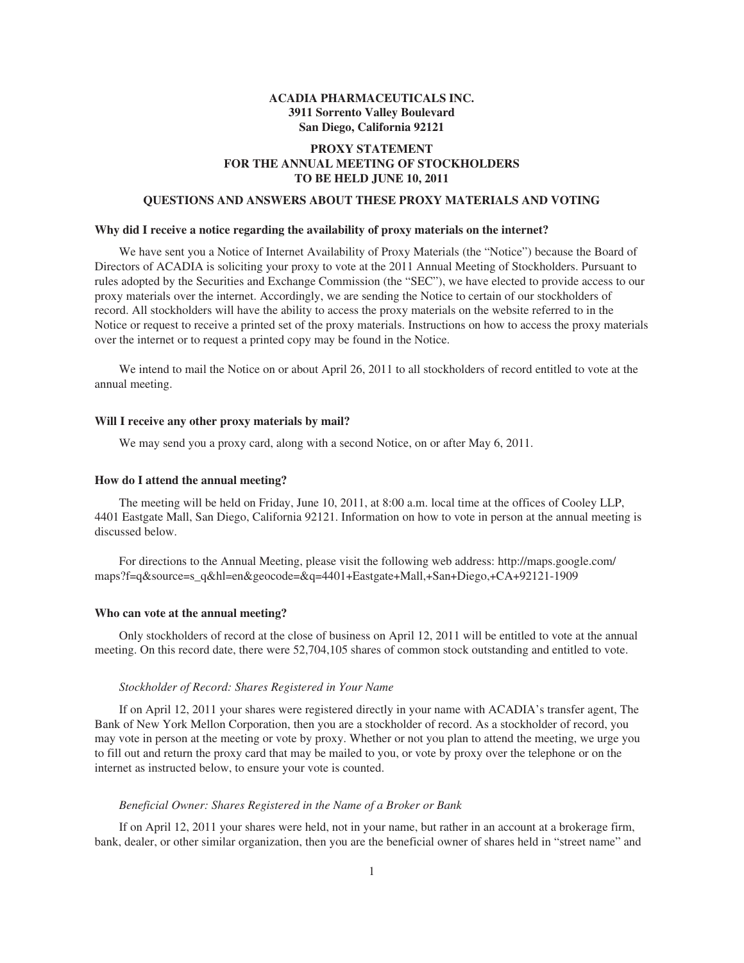# **ACADIA PHARMACEUTICALS INC. 3911 Sorrento Valley Boulevard San Diego, California 92121**

# **PROXY STATEMENT FOR THE ANNUAL MEETING OF STOCKHOLDERS TO BE HELD JUNE 10, 2011**

# **QUESTIONS AND ANSWERS ABOUT THESE PROXY MATERIALS AND VOTING**

### **Why did I receive a notice regarding the availability of proxy materials on the internet?**

We have sent you a Notice of Internet Availability of Proxy Materials (the "Notice") because the Board of Directors of ACADIA is soliciting your proxy to vote at the 2011 Annual Meeting of Stockholders. Pursuant to rules adopted by the Securities and Exchange Commission (the "SEC"), we have elected to provide access to our proxy materials over the internet. Accordingly, we are sending the Notice to certain of our stockholders of record. All stockholders will have the ability to access the proxy materials on the website referred to in the Notice or request to receive a printed set of the proxy materials. Instructions on how to access the proxy materials over the internet or to request a printed copy may be found in the Notice.

We intend to mail the Notice on or about April 26, 2011 to all stockholders of record entitled to vote at the annual meeting.

## **Will I receive any other proxy materials by mail?**

We may send you a proxy card, along with a second Notice, on or after May 6, 2011.

## **How do I attend the annual meeting?**

The meeting will be held on Friday, June 10, 2011, at 8:00 a.m. local time at the offices of Cooley LLP, 4401 Eastgate Mall, San Diego, California 92121. Information on how to vote in person at the annual meeting is discussed below.

For directions to the Annual Meeting, please visit the following web address: http://maps.google.com/ maps?f=q&source=s\_q&hl=en&geocode=&q=4401+Eastgate+Mall,+San+Diego,+CA+92121-1909

### **Who can vote at the annual meeting?**

Only stockholders of record at the close of business on April 12, 2011 will be entitled to vote at the annual meeting. On this record date, there were 52,704,105 shares of common stock outstanding and entitled to vote.

#### *Stockholder of Record: Shares Registered in Your Name*

If on April 12, 2011 your shares were registered directly in your name with ACADIA's transfer agent, The Bank of New York Mellon Corporation, then you are a stockholder of record. As a stockholder of record, you may vote in person at the meeting or vote by proxy. Whether or not you plan to attend the meeting, we urge you to fill out and return the proxy card that may be mailed to you, or vote by proxy over the telephone or on the internet as instructed below, to ensure your vote is counted.

### *Beneficial Owner: Shares Registered in the Name of a Broker or Bank*

If on April 12, 2011 your shares were held, not in your name, but rather in an account at a brokerage firm, bank, dealer, or other similar organization, then you are the beneficial owner of shares held in "street name" and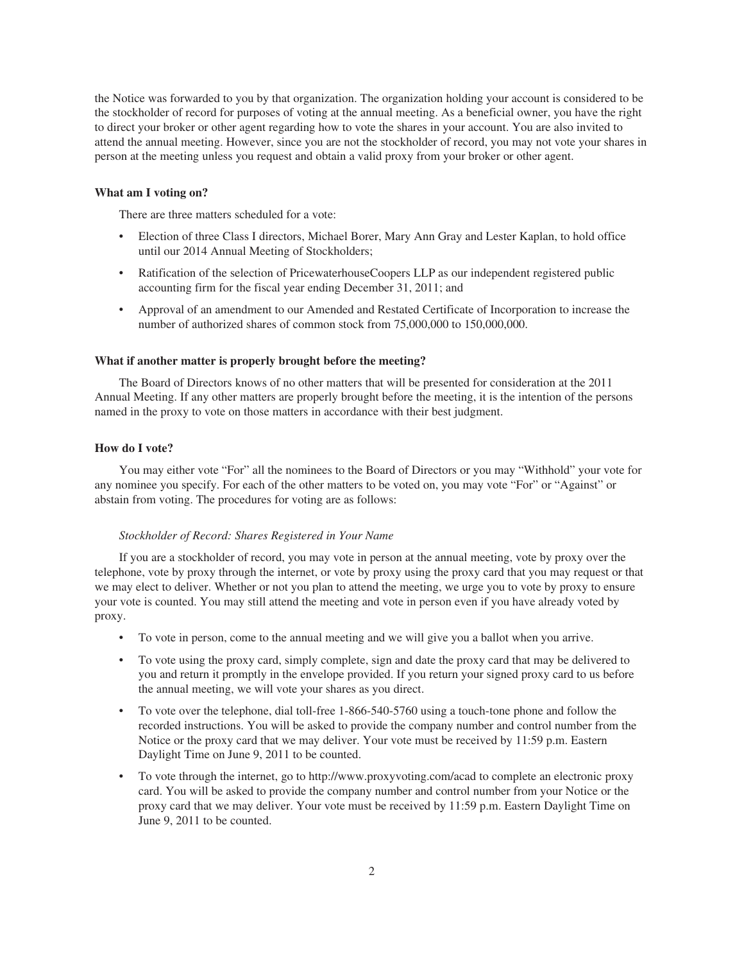the Notice was forwarded to you by that organization. The organization holding your account is considered to be the stockholder of record for purposes of voting at the annual meeting. As a beneficial owner, you have the right to direct your broker or other agent regarding how to vote the shares in your account. You are also invited to attend the annual meeting. However, since you are not the stockholder of record, you may not vote your shares in person at the meeting unless you request and obtain a valid proxy from your broker or other agent.

## **What am I voting on?**

There are three matters scheduled for a vote:

- Election of three Class I directors, Michael Borer, Mary Ann Gray and Lester Kaplan, to hold office until our 2014 Annual Meeting of Stockholders;
- Ratification of the selection of PricewaterhouseCoopers LLP as our independent registered public accounting firm for the fiscal year ending December 31, 2011; and
- Approval of an amendment to our Amended and Restated Certificate of Incorporation to increase the number of authorized shares of common stock from 75,000,000 to 150,000,000.

## **What if another matter is properly brought before the meeting?**

The Board of Directors knows of no other matters that will be presented for consideration at the 2011 Annual Meeting. If any other matters are properly brought before the meeting, it is the intention of the persons named in the proxy to vote on those matters in accordance with their best judgment.

## **How do I vote?**

You may either vote "For" all the nominees to the Board of Directors or you may "Withhold" your vote for any nominee you specify. For each of the other matters to be voted on, you may vote "For" or "Against" or abstain from voting. The procedures for voting are as follows:

### *Stockholder of Record: Shares Registered in Your Name*

If you are a stockholder of record, you may vote in person at the annual meeting, vote by proxy over the telephone, vote by proxy through the internet, or vote by proxy using the proxy card that you may request or that we may elect to deliver. Whether or not you plan to attend the meeting, we urge you to vote by proxy to ensure your vote is counted. You may still attend the meeting and vote in person even if you have already voted by proxy.

- To vote in person, come to the annual meeting and we will give you a ballot when you arrive.
- To vote using the proxy card, simply complete, sign and date the proxy card that may be delivered to you and return it promptly in the envelope provided. If you return your signed proxy card to us before the annual meeting, we will vote your shares as you direct.
- To vote over the telephone, dial toll-free 1-866-540-5760 using a touch-tone phone and follow the recorded instructions. You will be asked to provide the company number and control number from the Notice or the proxy card that we may deliver. Your vote must be received by 11:59 p.m. Eastern Daylight Time on June 9, 2011 to be counted.
- To vote through the internet, go to http://www.proxyvoting.com/acad to complete an electronic proxy card. You will be asked to provide the company number and control number from your Notice or the proxy card that we may deliver. Your vote must be received by 11:59 p.m. Eastern Daylight Time on June 9, 2011 to be counted.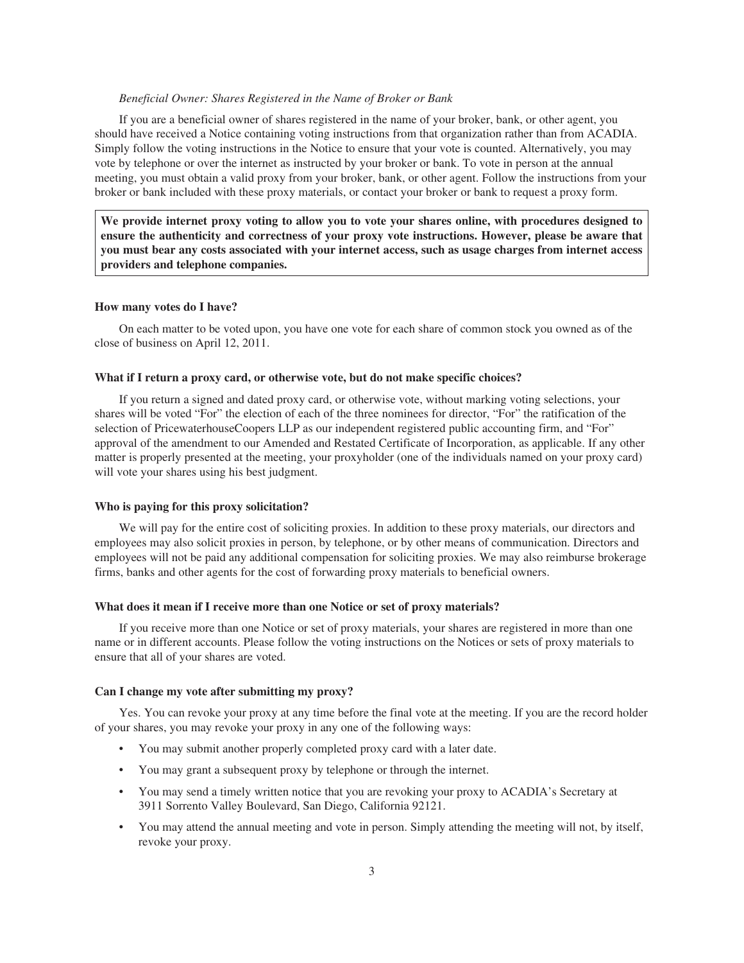### *Beneficial Owner: Shares Registered in the Name of Broker or Bank*

If you are a beneficial owner of shares registered in the name of your broker, bank, or other agent, you should have received a Notice containing voting instructions from that organization rather than from ACADIA. Simply follow the voting instructions in the Notice to ensure that your vote is counted. Alternatively, you may vote by telephone or over the internet as instructed by your broker or bank. To vote in person at the annual meeting, you must obtain a valid proxy from your broker, bank, or other agent. Follow the instructions from your broker or bank included with these proxy materials, or contact your broker or bank to request a proxy form.

**We provide internet proxy voting to allow you to vote your shares online, with procedures designed to ensure the authenticity and correctness of your proxy vote instructions. However, please be aware that you must bear any costs associated with your internet access, such as usage charges from internet access providers and telephone companies.**

### **How many votes do I have?**

On each matter to be voted upon, you have one vote for each share of common stock you owned as of the close of business on April 12, 2011.

#### **What if I return a proxy card, or otherwise vote, but do not make specific choices?**

If you return a signed and dated proxy card, or otherwise vote, without marking voting selections, your shares will be voted "For" the election of each of the three nominees for director, "For" the ratification of the selection of PricewaterhouseCoopers LLP as our independent registered public accounting firm, and "For" approval of the amendment to our Amended and Restated Certificate of Incorporation, as applicable. If any other matter is properly presented at the meeting, your proxyholder (one of the individuals named on your proxy card) will vote your shares using his best judgment.

#### **Who is paying for this proxy solicitation?**

We will pay for the entire cost of soliciting proxies. In addition to these proxy materials, our directors and employees may also solicit proxies in person, by telephone, or by other means of communication. Directors and employees will not be paid any additional compensation for soliciting proxies. We may also reimburse brokerage firms, banks and other agents for the cost of forwarding proxy materials to beneficial owners.

#### **What does it mean if I receive more than one Notice or set of proxy materials?**

If you receive more than one Notice or set of proxy materials, your shares are registered in more than one name or in different accounts. Please follow the voting instructions on the Notices or sets of proxy materials to ensure that all of your shares are voted.

#### **Can I change my vote after submitting my proxy?**

Yes. You can revoke your proxy at any time before the final vote at the meeting. If you are the record holder of your shares, you may revoke your proxy in any one of the following ways:

- You may submit another properly completed proxy card with a later date.
- You may grant a subsequent proxy by telephone or through the internet.
- You may send a timely written notice that you are revoking your proxy to ACADIA's Secretary at 3911 Sorrento Valley Boulevard, San Diego, California 92121.
- You may attend the annual meeting and vote in person. Simply attending the meeting will not, by itself, revoke your proxy.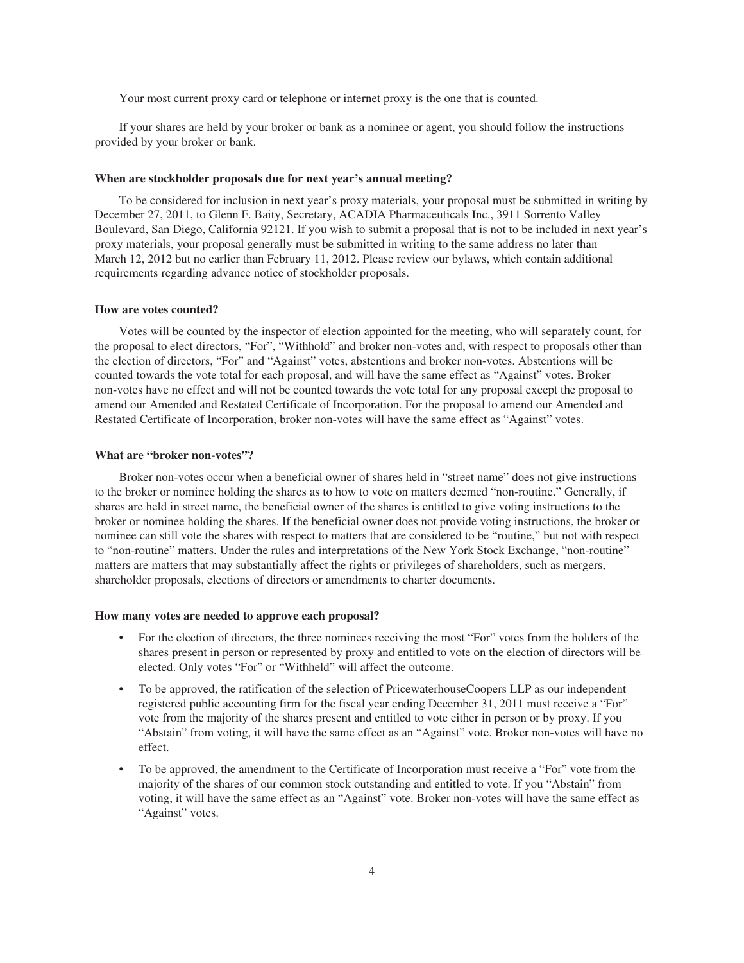Your most current proxy card or telephone or internet proxy is the one that is counted.

If your shares are held by your broker or bank as a nominee or agent, you should follow the instructions provided by your broker or bank.

### **When are stockholder proposals due for next year's annual meeting?**

To be considered for inclusion in next year's proxy materials, your proposal must be submitted in writing by December 27, 2011, to Glenn F. Baity, Secretary, ACADIA Pharmaceuticals Inc., 3911 Sorrento Valley Boulevard, San Diego, California 92121. If you wish to submit a proposal that is not to be included in next year's proxy materials, your proposal generally must be submitted in writing to the same address no later than March 12, 2012 but no earlier than February 11, 2012. Please review our bylaws, which contain additional requirements regarding advance notice of stockholder proposals.

#### **How are votes counted?**

Votes will be counted by the inspector of election appointed for the meeting, who will separately count, for the proposal to elect directors, "For", "Withhold" and broker non-votes and, with respect to proposals other than the election of directors, "For" and "Against" votes, abstentions and broker non-votes. Abstentions will be counted towards the vote total for each proposal, and will have the same effect as "Against" votes. Broker non-votes have no effect and will not be counted towards the vote total for any proposal except the proposal to amend our Amended and Restated Certificate of Incorporation. For the proposal to amend our Amended and Restated Certificate of Incorporation, broker non-votes will have the same effect as "Against" votes.

#### **What are "broker non-votes"?**

Broker non-votes occur when a beneficial owner of shares held in "street name" does not give instructions to the broker or nominee holding the shares as to how to vote on matters deemed "non-routine." Generally, if shares are held in street name, the beneficial owner of the shares is entitled to give voting instructions to the broker or nominee holding the shares. If the beneficial owner does not provide voting instructions, the broker or nominee can still vote the shares with respect to matters that are considered to be "routine," but not with respect to "non-routine" matters. Under the rules and interpretations of the New York Stock Exchange, "non-routine" matters are matters that may substantially affect the rights or privileges of shareholders, such as mergers, shareholder proposals, elections of directors or amendments to charter documents.

### **How many votes are needed to approve each proposal?**

- For the election of directors, the three nominees receiving the most "For" votes from the holders of the shares present in person or represented by proxy and entitled to vote on the election of directors will be elected. Only votes "For" or "Withheld" will affect the outcome.
- To be approved, the ratification of the selection of PricewaterhouseCoopers LLP as our independent registered public accounting firm for the fiscal year ending December 31, 2011 must receive a "For" vote from the majority of the shares present and entitled to vote either in person or by proxy. If you "Abstain" from voting, it will have the same effect as an "Against" vote. Broker non-votes will have no effect.
- To be approved, the amendment to the Certificate of Incorporation must receive a "For" vote from the majority of the shares of our common stock outstanding and entitled to vote. If you "Abstain" from voting, it will have the same effect as an "Against" vote. Broker non-votes will have the same effect as "Against" votes.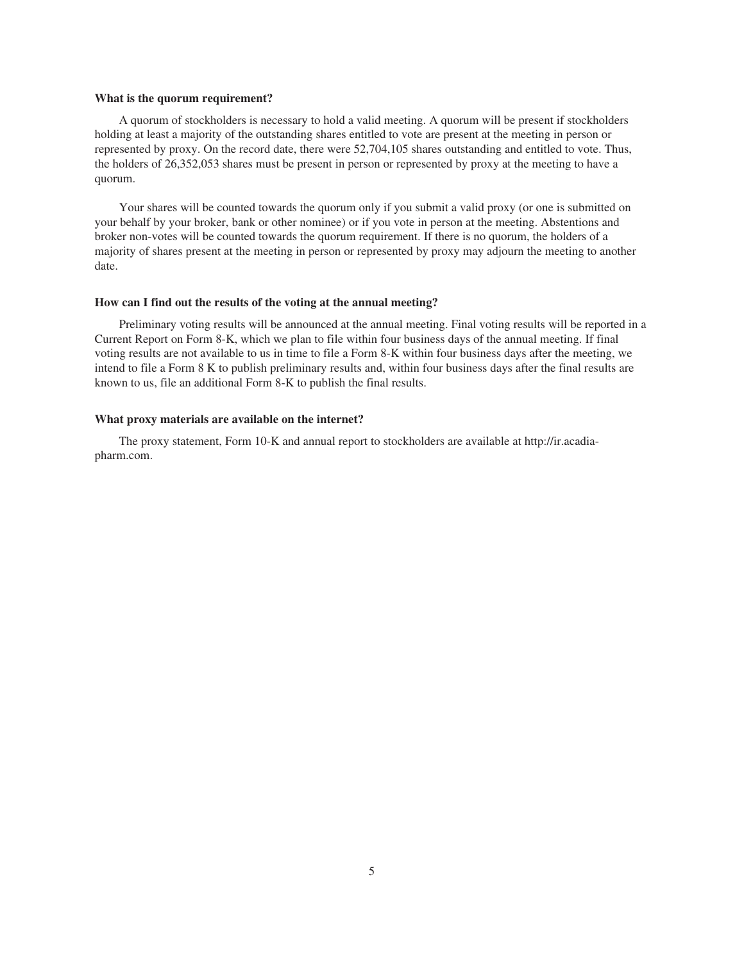### **What is the quorum requirement?**

A quorum of stockholders is necessary to hold a valid meeting. A quorum will be present if stockholders holding at least a majority of the outstanding shares entitled to vote are present at the meeting in person or represented by proxy. On the record date, there were 52,704,105 shares outstanding and entitled to vote. Thus, the holders of 26,352,053 shares must be present in person or represented by proxy at the meeting to have a quorum.

Your shares will be counted towards the quorum only if you submit a valid proxy (or one is submitted on your behalf by your broker, bank or other nominee) or if you vote in person at the meeting. Abstentions and broker non-votes will be counted towards the quorum requirement. If there is no quorum, the holders of a majority of shares present at the meeting in person or represented by proxy may adjourn the meeting to another date.

#### **How can I find out the results of the voting at the annual meeting?**

Preliminary voting results will be announced at the annual meeting. Final voting results will be reported in a Current Report on Form 8-K, which we plan to file within four business days of the annual meeting. If final voting results are not available to us in time to file a Form 8-K within four business days after the meeting, we intend to file a Form 8 K to publish preliminary results and, within four business days after the final results are known to us, file an additional Form 8-K to publish the final results.

### **What proxy materials are available on the internet?**

The proxy statement, Form 10-K and annual report to stockholders are available at http://ir.acadiapharm.com.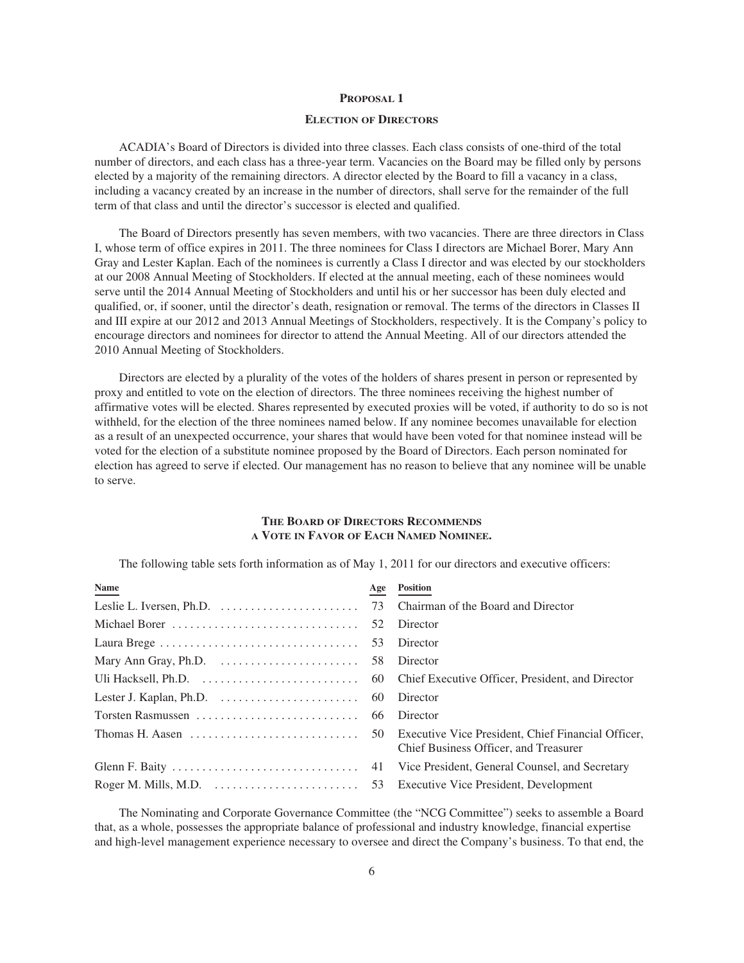### **PROPOSAL 1**

## **ELECTION OF DIRECTORS**

ACADIA's Board of Directors is divided into three classes. Each class consists of one-third of the total number of directors, and each class has a three-year term. Vacancies on the Board may be filled only by persons elected by a majority of the remaining directors. A director elected by the Board to fill a vacancy in a class, including a vacancy created by an increase in the number of directors, shall serve for the remainder of the full term of that class and until the director's successor is elected and qualified.

The Board of Directors presently has seven members, with two vacancies. There are three directors in Class I, whose term of office expires in 2011. The three nominees for Class I directors are Michael Borer, Mary Ann Gray and Lester Kaplan. Each of the nominees is currently a Class I director and was elected by our stockholders at our 2008 Annual Meeting of Stockholders. If elected at the annual meeting, each of these nominees would serve until the 2014 Annual Meeting of Stockholders and until his or her successor has been duly elected and qualified, or, if sooner, until the director's death, resignation or removal. The terms of the directors in Classes II and III expire at our 2012 and 2013 Annual Meetings of Stockholders, respectively. It is the Company's policy to encourage directors and nominees for director to attend the Annual Meeting. All of our directors attended the 2010 Annual Meeting of Stockholders.

Directors are elected by a plurality of the votes of the holders of shares present in person or represented by proxy and entitled to vote on the election of directors. The three nominees receiving the highest number of affirmative votes will be elected. Shares represented by executed proxies will be voted, if authority to do so is not withheld, for the election of the three nominees named below. If any nominee becomes unavailable for election as a result of an unexpected occurrence, your shares that would have been voted for that nominee instead will be voted for the election of a substitute nominee proposed by the Board of Directors. Each person nominated for election has agreed to serve if elected. Our management has no reason to believe that any nominee will be unable to serve.

# **THE BOARD OF DIRECTORS RECOMMENDS A VOTE IN FAVOR OF EACH NAMED NOMINEE.**

The following table sets forth information as of May 1, 2011 for our directors and executive officers:

| <b>Name</b> | Age Position                                   |
|-------------|------------------------------------------------|
|             |                                                |
|             | Director                                       |
|             | Director                                       |
|             | Director                                       |
|             |                                                |
|             | Director                                       |
|             | Director                                       |
|             | Chief Business Officer, and Treasurer          |
|             | Vice President, General Counsel, and Secretary |
|             |                                                |
|             |                                                |

The Nominating and Corporate Governance Committee (the "NCG Committee") seeks to assemble a Board that, as a whole, possesses the appropriate balance of professional and industry knowledge, financial expertise and high-level management experience necessary to oversee and direct the Company's business. To that end, the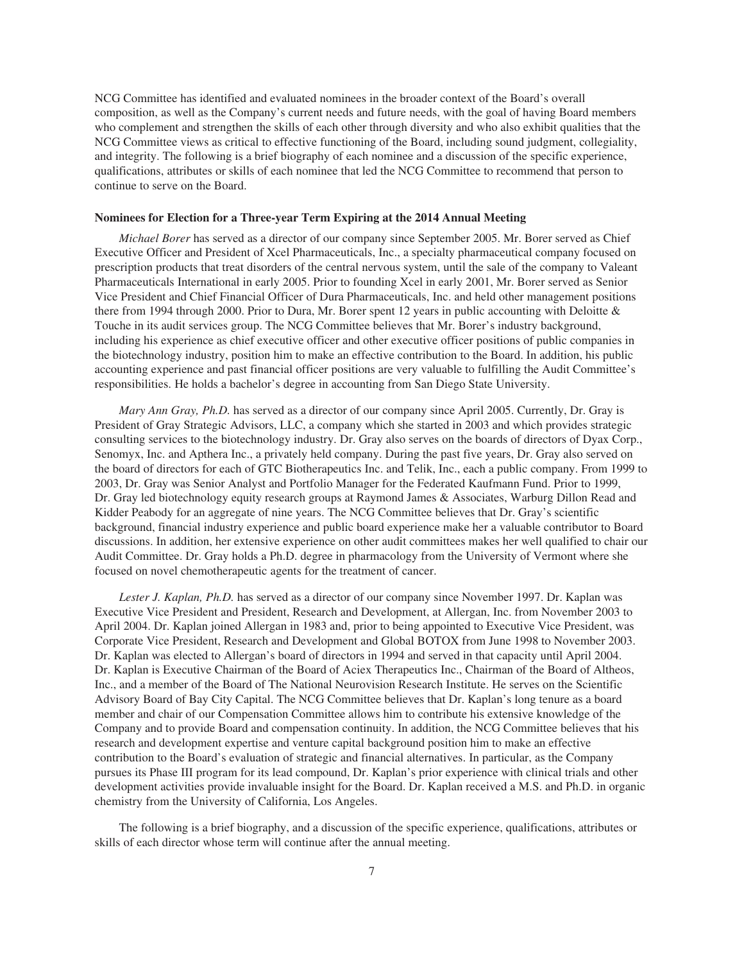NCG Committee has identified and evaluated nominees in the broader context of the Board's overall composition, as well as the Company's current needs and future needs, with the goal of having Board members who complement and strengthen the skills of each other through diversity and who also exhibit qualities that the NCG Committee views as critical to effective functioning of the Board, including sound judgment, collegiality, and integrity. The following is a brief biography of each nominee and a discussion of the specific experience, qualifications, attributes or skills of each nominee that led the NCG Committee to recommend that person to continue to serve on the Board.

#### **Nominees for Election for a Three-year Term Expiring at the 2014 Annual Meeting**

*Michael Borer* has served as a director of our company since September 2005. Mr. Borer served as Chief Executive Officer and President of Xcel Pharmaceuticals, Inc., a specialty pharmaceutical company focused on prescription products that treat disorders of the central nervous system, until the sale of the company to Valeant Pharmaceuticals International in early 2005. Prior to founding Xcel in early 2001, Mr. Borer served as Senior Vice President and Chief Financial Officer of Dura Pharmaceuticals, Inc. and held other management positions there from 1994 through 2000. Prior to Dura, Mr. Borer spent 12 years in public accounting with Deloitte & Touche in its audit services group. The NCG Committee believes that Mr. Borer's industry background, including his experience as chief executive officer and other executive officer positions of public companies in the biotechnology industry, position him to make an effective contribution to the Board. In addition, his public accounting experience and past financial officer positions are very valuable to fulfilling the Audit Committee's responsibilities. He holds a bachelor's degree in accounting from San Diego State University.

*Mary Ann Gray, Ph.D.* has served as a director of our company since April 2005. Currently, Dr. Gray is President of Gray Strategic Advisors, LLC, a company which she started in 2003 and which provides strategic consulting services to the biotechnology industry. Dr. Gray also serves on the boards of directors of Dyax Corp., Senomyx, Inc. and Apthera Inc., a privately held company. During the past five years, Dr. Gray also served on the board of directors for each of GTC Biotherapeutics Inc. and Telik, Inc., each a public company. From 1999 to 2003, Dr. Gray was Senior Analyst and Portfolio Manager for the Federated Kaufmann Fund. Prior to 1999, Dr. Gray led biotechnology equity research groups at Raymond James & Associates, Warburg Dillon Read and Kidder Peabody for an aggregate of nine years. The NCG Committee believes that Dr. Gray's scientific background, financial industry experience and public board experience make her a valuable contributor to Board discussions. In addition, her extensive experience on other audit committees makes her well qualified to chair our Audit Committee. Dr. Gray holds a Ph.D. degree in pharmacology from the University of Vermont where she focused on novel chemotherapeutic agents for the treatment of cancer.

Lester J. Kaplan, Ph.D. has served as a director of our company since November 1997. Dr. Kaplan was Executive Vice President and President, Research and Development, at Allergan, Inc. from November 2003 to April 2004. Dr. Kaplan joined Allergan in 1983 and, prior to being appointed to Executive Vice President, was Corporate Vice President, Research and Development and Global BOTOX from June 1998 to November 2003. Dr. Kaplan was elected to Allergan's board of directors in 1994 and served in that capacity until April 2004. Dr. Kaplan is Executive Chairman of the Board of Aciex Therapeutics Inc., Chairman of the Board of Altheos, Inc., and a member of the Board of The National Neurovision Research Institute. He serves on the Scientific Advisory Board of Bay City Capital. The NCG Committee believes that Dr. Kaplan's long tenure as a board member and chair of our Compensation Committee allows him to contribute his extensive knowledge of the Company and to provide Board and compensation continuity. In addition, the NCG Committee believes that his research and development expertise and venture capital background position him to make an effective contribution to the Board's evaluation of strategic and financial alternatives. In particular, as the Company pursues its Phase III program for its lead compound, Dr. Kaplan's prior experience with clinical trials and other development activities provide invaluable insight for the Board. Dr. Kaplan received a M.S. and Ph.D. in organic chemistry from the University of California, Los Angeles.

The following is a brief biography, and a discussion of the specific experience, qualifications, attributes or skills of each director whose term will continue after the annual meeting.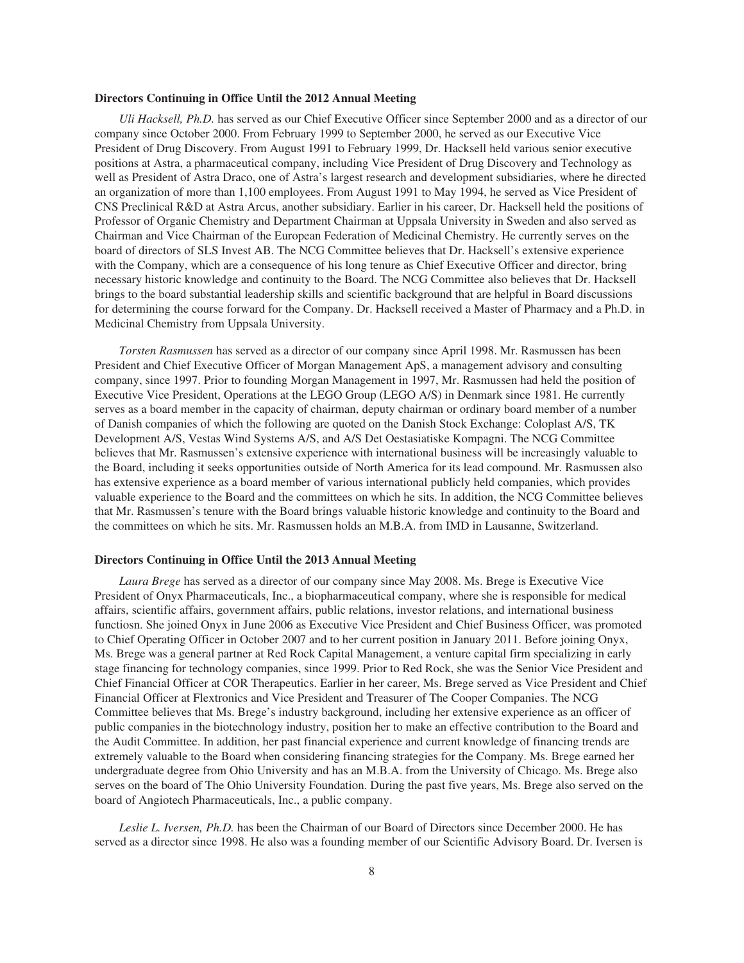### **Directors Continuing in Office Until the 2012 Annual Meeting**

*Uli Hacksell, Ph.D.* has served as our Chief Executive Officer since September 2000 and as a director of our company since October 2000. From February 1999 to September 2000, he served as our Executive Vice President of Drug Discovery. From August 1991 to February 1999, Dr. Hacksell held various senior executive positions at Astra, a pharmaceutical company, including Vice President of Drug Discovery and Technology as well as President of Astra Draco, one of Astra's largest research and development subsidiaries, where he directed an organization of more than 1,100 employees. From August 1991 to May 1994, he served as Vice President of CNS Preclinical R&D at Astra Arcus, another subsidiary. Earlier in his career, Dr. Hacksell held the positions of Professor of Organic Chemistry and Department Chairman at Uppsala University in Sweden and also served as Chairman and Vice Chairman of the European Federation of Medicinal Chemistry. He currently serves on the board of directors of SLS Invest AB. The NCG Committee believes that Dr. Hacksell's extensive experience with the Company, which are a consequence of his long tenure as Chief Executive Officer and director, bring necessary historic knowledge and continuity to the Board. The NCG Committee also believes that Dr. Hacksell brings to the board substantial leadership skills and scientific background that are helpful in Board discussions for determining the course forward for the Company. Dr. Hacksell received a Master of Pharmacy and a Ph.D. in Medicinal Chemistry from Uppsala University.

*Torsten Rasmussen* has served as a director of our company since April 1998. Mr. Rasmussen has been President and Chief Executive Officer of Morgan Management ApS, a management advisory and consulting company, since 1997. Prior to founding Morgan Management in 1997, Mr. Rasmussen had held the position of Executive Vice President, Operations at the LEGO Group (LEGO A/S) in Denmark since 1981. He currently serves as a board member in the capacity of chairman, deputy chairman or ordinary board member of a number of Danish companies of which the following are quoted on the Danish Stock Exchange: Coloplast A/S, TK Development A/S, Vestas Wind Systems A/S, and A/S Det Oestasiatiske Kompagni. The NCG Committee believes that Mr. Rasmussen's extensive experience with international business will be increasingly valuable to the Board, including it seeks opportunities outside of North America for its lead compound. Mr. Rasmussen also has extensive experience as a board member of various international publicly held companies, which provides valuable experience to the Board and the committees on which he sits. In addition, the NCG Committee believes that Mr. Rasmussen's tenure with the Board brings valuable historic knowledge and continuity to the Board and the committees on which he sits. Mr. Rasmussen holds an M.B.A. from IMD in Lausanne, Switzerland.

#### **Directors Continuing in Office Until the 2013 Annual Meeting**

*Laura Brege* has served as a director of our company since May 2008. Ms. Brege is Executive Vice President of Onyx Pharmaceuticals, Inc., a biopharmaceutical company, where she is responsible for medical affairs, scientific affairs, government affairs, public relations, investor relations, and international business functiosn. She joined Onyx in June 2006 as Executive Vice President and Chief Business Officer, was promoted to Chief Operating Officer in October 2007 and to her current position in January 2011. Before joining Onyx, Ms. Brege was a general partner at Red Rock Capital Management, a venture capital firm specializing in early stage financing for technology companies, since 1999. Prior to Red Rock, she was the Senior Vice President and Chief Financial Officer at COR Therapeutics. Earlier in her career, Ms. Brege served as Vice President and Chief Financial Officer at Flextronics and Vice President and Treasurer of The Cooper Companies. The NCG Committee believes that Ms. Brege's industry background, including her extensive experience as an officer of public companies in the biotechnology industry, position her to make an effective contribution to the Board and the Audit Committee. In addition, her past financial experience and current knowledge of financing trends are extremely valuable to the Board when considering financing strategies for the Company. Ms. Brege earned her undergraduate degree from Ohio University and has an M.B.A. from the University of Chicago. Ms. Brege also serves on the board of The Ohio University Foundation. During the past five years, Ms. Brege also served on the board of Angiotech Pharmaceuticals, Inc., a public company.

*Leslie L. Iversen, Ph.D.* has been the Chairman of our Board of Directors since December 2000. He has served as a director since 1998. He also was a founding member of our Scientific Advisory Board. Dr. Iversen is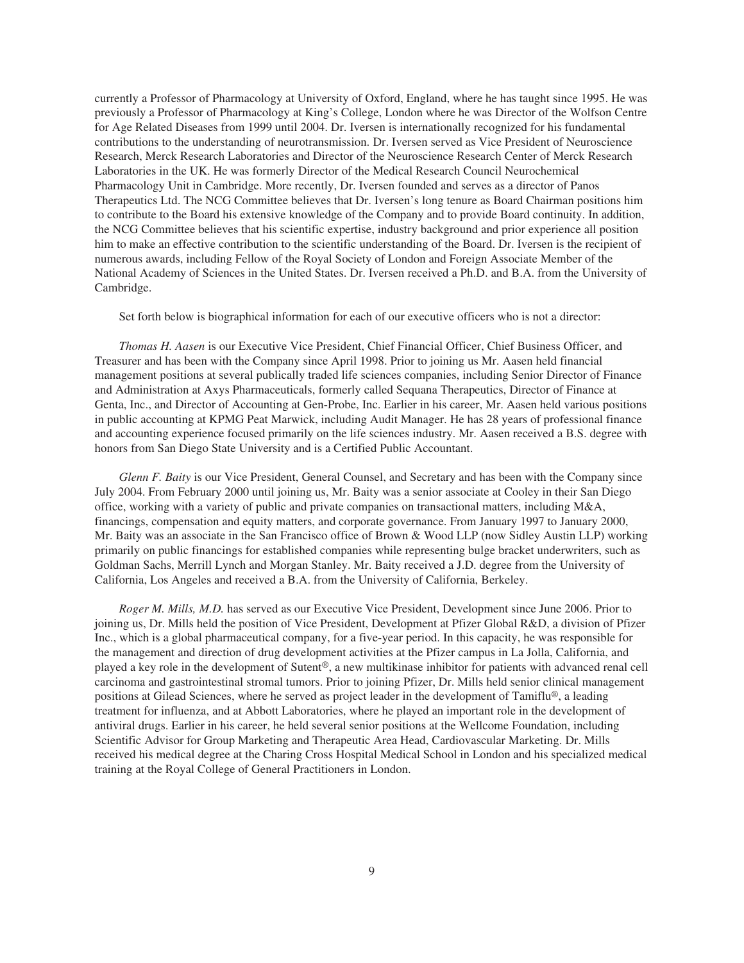currently a Professor of Pharmacology at University of Oxford, England, where he has taught since 1995. He was previously a Professor of Pharmacology at King's College, London where he was Director of the Wolfson Centre for Age Related Diseases from 1999 until 2004. Dr. Iversen is internationally recognized for his fundamental contributions to the understanding of neurotransmission. Dr. Iversen served as Vice President of Neuroscience Research, Merck Research Laboratories and Director of the Neuroscience Research Center of Merck Research Laboratories in the UK. He was formerly Director of the Medical Research Council Neurochemical Pharmacology Unit in Cambridge. More recently, Dr. Iversen founded and serves as a director of Panos Therapeutics Ltd. The NCG Committee believes that Dr. Iversen's long tenure as Board Chairman positions him to contribute to the Board his extensive knowledge of the Company and to provide Board continuity. In addition, the NCG Committee believes that his scientific expertise, industry background and prior experience all position him to make an effective contribution to the scientific understanding of the Board. Dr. Iversen is the recipient of numerous awards, including Fellow of the Royal Society of London and Foreign Associate Member of the National Academy of Sciences in the United States. Dr. Iversen received a Ph.D. and B.A. from the University of Cambridge.

Set forth below is biographical information for each of our executive officers who is not a director:

*Thomas H. Aasen* is our Executive Vice President, Chief Financial Officer, Chief Business Officer, and Treasurer and has been with the Company since April 1998. Prior to joining us Mr. Aasen held financial management positions at several publically traded life sciences companies, including Senior Director of Finance and Administration at Axys Pharmaceuticals, formerly called Sequana Therapeutics, Director of Finance at Genta, Inc., and Director of Accounting at Gen-Probe, Inc. Earlier in his career, Mr. Aasen held various positions in public accounting at KPMG Peat Marwick, including Audit Manager. He has 28 years of professional finance and accounting experience focused primarily on the life sciences industry. Mr. Aasen received a B.S. degree with honors from San Diego State University and is a Certified Public Accountant.

*Glenn F. Baity* is our Vice President, General Counsel, and Secretary and has been with the Company since July 2004. From February 2000 until joining us, Mr. Baity was a senior associate at Cooley in their San Diego office, working with a variety of public and private companies on transactional matters, including M&A, financings, compensation and equity matters, and corporate governance. From January 1997 to January 2000, Mr. Baity was an associate in the San Francisco office of Brown & Wood LLP (now Sidley Austin LLP) working primarily on public financings for established companies while representing bulge bracket underwriters, such as Goldman Sachs, Merrill Lynch and Morgan Stanley. Mr. Baity received a J.D. degree from the University of California, Los Angeles and received a B.A. from the University of California, Berkeley.

*Roger M. Mills, M.D.* has served as our Executive Vice President, Development since June 2006. Prior to joining us, Dr. Mills held the position of Vice President, Development at Pfizer Global R&D, a division of Pfizer Inc., which is a global pharmaceutical company, for a five-year period. In this capacity, he was responsible for the management and direction of drug development activities at the Pfizer campus in La Jolla, California, and played a key role in the development of Sutent®, a new multikinase inhibitor for patients with advanced renal cell carcinoma and gastrointestinal stromal tumors. Prior to joining Pfizer, Dr. Mills held senior clinical management positions at Gilead Sciences, where he served as project leader in the development of Tamiflu®, a leading treatment for influenza, and at Abbott Laboratories, where he played an important role in the development of antiviral drugs. Earlier in his career, he held several senior positions at the Wellcome Foundation, including Scientific Advisor for Group Marketing and Therapeutic Area Head, Cardiovascular Marketing. Dr. Mills received his medical degree at the Charing Cross Hospital Medical School in London and his specialized medical training at the Royal College of General Practitioners in London.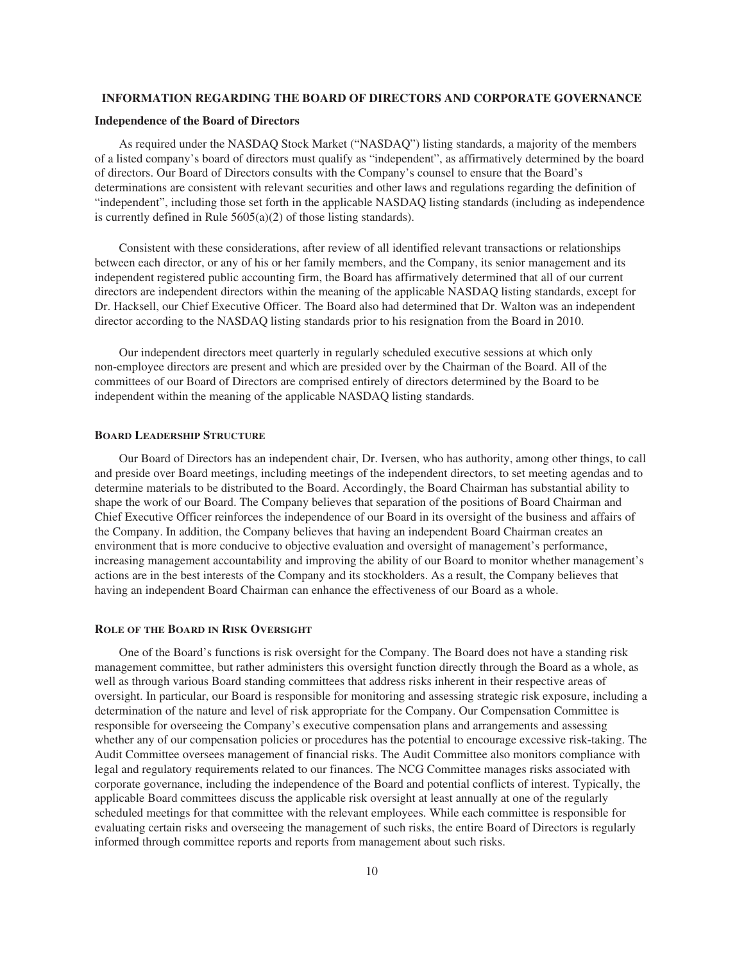### **INFORMATION REGARDING THE BOARD OF DIRECTORS AND CORPORATE GOVERNANCE**

#### **Independence of the Board of Directors**

As required under the NASDAQ Stock Market ("NASDAQ") listing standards, a majority of the members of a listed company's board of directors must qualify as "independent", as affirmatively determined by the board of directors. Our Board of Directors consults with the Company's counsel to ensure that the Board's determinations are consistent with relevant securities and other laws and regulations regarding the definition of "independent", including those set forth in the applicable NASDAQ listing standards (including as independence is currently defined in Rule 5605(a)(2) of those listing standards).

Consistent with these considerations, after review of all identified relevant transactions or relationships between each director, or any of his or her family members, and the Company, its senior management and its independent registered public accounting firm, the Board has affirmatively determined that all of our current directors are independent directors within the meaning of the applicable NASDAQ listing standards, except for Dr. Hacksell, our Chief Executive Officer. The Board also had determined that Dr. Walton was an independent director according to the NASDAQ listing standards prior to his resignation from the Board in 2010.

Our independent directors meet quarterly in regularly scheduled executive sessions at which only non-employee directors are present and which are presided over by the Chairman of the Board. All of the committees of our Board of Directors are comprised entirely of directors determined by the Board to be independent within the meaning of the applicable NASDAQ listing standards.

### **BOARD LEADERSHIP STRUCTURE**

Our Board of Directors has an independent chair, Dr. Iversen, who has authority, among other things, to call and preside over Board meetings, including meetings of the independent directors, to set meeting agendas and to determine materials to be distributed to the Board. Accordingly, the Board Chairman has substantial ability to shape the work of our Board. The Company believes that separation of the positions of Board Chairman and Chief Executive Officer reinforces the independence of our Board in its oversight of the business and affairs of the Company. In addition, the Company believes that having an independent Board Chairman creates an environment that is more conducive to objective evaluation and oversight of management's performance, increasing management accountability and improving the ability of our Board to monitor whether management's actions are in the best interests of the Company and its stockholders. As a result, the Company believes that having an independent Board Chairman can enhance the effectiveness of our Board as a whole.

## **ROLE OF THE BOARD IN RISK OVERSIGHT**

One of the Board's functions is risk oversight for the Company. The Board does not have a standing risk management committee, but rather administers this oversight function directly through the Board as a whole, as well as through various Board standing committees that address risks inherent in their respective areas of oversight. In particular, our Board is responsible for monitoring and assessing strategic risk exposure, including a determination of the nature and level of risk appropriate for the Company. Our Compensation Committee is responsible for overseeing the Company's executive compensation plans and arrangements and assessing whether any of our compensation policies or procedures has the potential to encourage excessive risk-taking. The Audit Committee oversees management of financial risks. The Audit Committee also monitors compliance with legal and regulatory requirements related to our finances. The NCG Committee manages risks associated with corporate governance, including the independence of the Board and potential conflicts of interest. Typically, the applicable Board committees discuss the applicable risk oversight at least annually at one of the regularly scheduled meetings for that committee with the relevant employees. While each committee is responsible for evaluating certain risks and overseeing the management of such risks, the entire Board of Directors is regularly informed through committee reports and reports from management about such risks.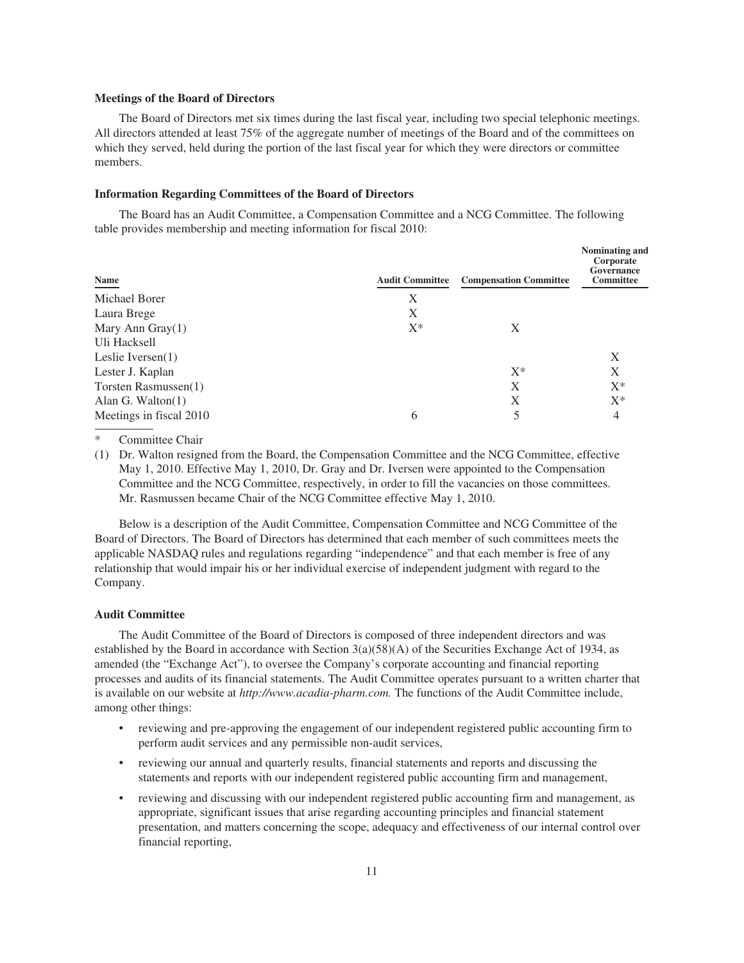### **Meetings of the Board of Directors**

The Board of Directors met six times during the last fiscal year, including two special telephonic meetings. All directors attended at least 75% of the aggregate number of meetings of the Board and of the committees on which they served, held during the portion of the last fiscal year for which they were directors or committee members.

### **Information Regarding Committees of the Board of Directors**

The Board has an Audit Committee, a Compensation Committee and a NCG Committee. The following table provides membership and meeting information for fiscal 2010:

| Name                    | <b>Audit Committee</b> | <b>Compensation Committee</b> | Nominating and<br>Corporate<br>Governance<br><b>Committee</b> |
|-------------------------|------------------------|-------------------------------|---------------------------------------------------------------|
| Michael Borer           | Χ                      |                               |                                                               |
| Laura Brege             | X                      |                               |                                                               |
| Mary Ann Gray $(1)$     | $X^*$                  | X                             |                                                               |
| Uli Hacksell            |                        |                               |                                                               |
| Leslie Iversen $(1)$    |                        |                               | Χ                                                             |
| Lester J. Kaplan        |                        | $X^*$                         | X                                                             |
| Torsten Rasmussen(1)    |                        | X                             | $X^*$                                                         |
| Alan G. Walton $(1)$    |                        | X                             | $X^*$                                                         |
| Meetings in fiscal 2010 | 6                      |                               | 4                                                             |
|                         |                        |                               |                                                               |

Committee Chair

(1) Dr. Walton resigned from the Board, the Compensation Committee and the NCG Committee, effective May 1, 2010. Effective May 1, 2010, Dr. Gray and Dr. Iversen were appointed to the Compensation Committee and the NCG Committee, respectively, in order to fill the vacancies on those committees. Mr. Rasmussen became Chair of the NCG Committee effective May 1, 2010.

Below is a description of the Audit Committee, Compensation Committee and NCG Committee of the Board of Directors. The Board of Directors has determined that each member of such committees meets the applicable NASDAQ rules and regulations regarding "independence" and that each member is free of any relationship that would impair his or her individual exercise of independent judgment with regard to the Company.

## **Audit Committee**

The Audit Committee of the Board of Directors is composed of three independent directors and was established by the Board in accordance with Section 3(a)(58)(A) of the Securities Exchange Act of 1934, as amended (the "Exchange Act"), to oversee the Company's corporate accounting and financial reporting processes and audits of its financial statements. The Audit Committee operates pursuant to a written charter that is available on our website at *http://www.acadia-pharm.com.* The functions of the Audit Committee include, among other things:

- reviewing and pre-approving the engagement of our independent registered public accounting firm to perform audit services and any permissible non-audit services,
- reviewing our annual and quarterly results, financial statements and reports and discussing the statements and reports with our independent registered public accounting firm and management,
- reviewing and discussing with our independent registered public accounting firm and management, as appropriate, significant issues that arise regarding accounting principles and financial statement presentation, and matters concerning the scope, adequacy and effectiveness of our internal control over financial reporting,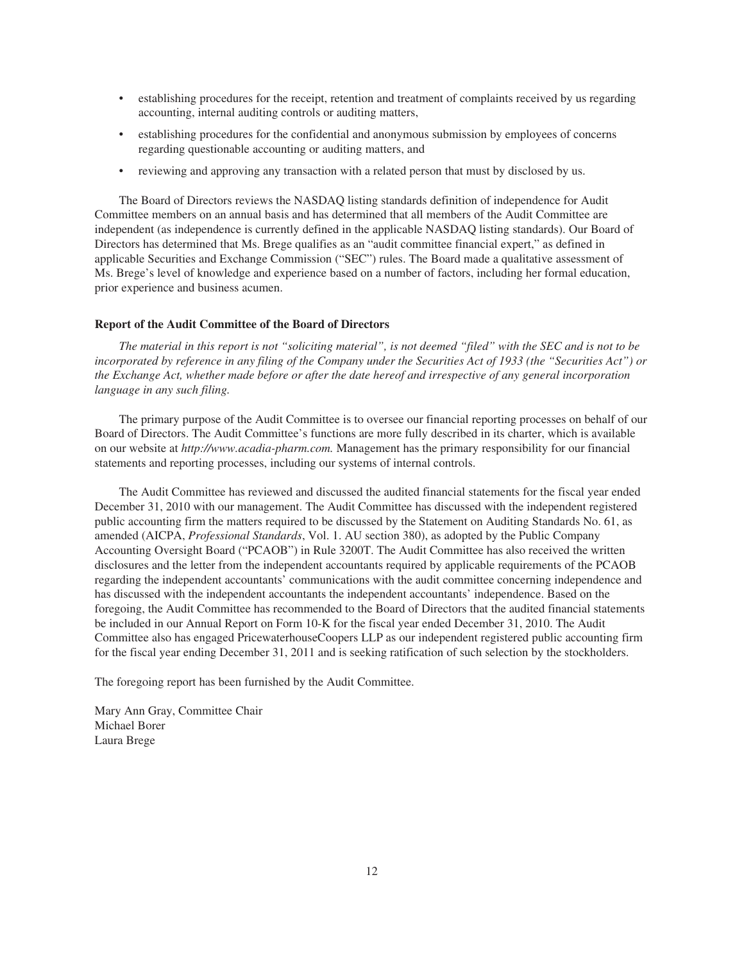- establishing procedures for the receipt, retention and treatment of complaints received by us regarding accounting, internal auditing controls or auditing matters,
- establishing procedures for the confidential and anonymous submission by employees of concerns regarding questionable accounting or auditing matters, and
- reviewing and approving any transaction with a related person that must by disclosed by us.

The Board of Directors reviews the NASDAQ listing standards definition of independence for Audit Committee members on an annual basis and has determined that all members of the Audit Committee are independent (as independence is currently defined in the applicable NASDAQ listing standards). Our Board of Directors has determined that Ms. Brege qualifies as an "audit committee financial expert," as defined in applicable Securities and Exchange Commission ("SEC") rules. The Board made a qualitative assessment of Ms. Brege's level of knowledge and experience based on a number of factors, including her formal education, prior experience and business acumen.

### **Report of the Audit Committee of the Board of Directors**

*The material in this report is not "soliciting material", is not deemed "filed" with the SEC and is not to be incorporated by reference in any filing of the Company under the Securities Act of 1933 (the "Securities Act") or the Exchange Act, whether made before or after the date hereof and irrespective of any general incorporation language in any such filing.*

The primary purpose of the Audit Committee is to oversee our financial reporting processes on behalf of our Board of Directors. The Audit Committee's functions are more fully described in its charter, which is available on our website at *http://www.acadia-pharm.com.* Management has the primary responsibility for our financial statements and reporting processes, including our systems of internal controls.

The Audit Committee has reviewed and discussed the audited financial statements for the fiscal year ended December 31, 2010 with our management. The Audit Committee has discussed with the independent registered public accounting firm the matters required to be discussed by the Statement on Auditing Standards No. 61, as amended (AICPA, *Professional Standards*, Vol. 1. AU section 380), as adopted by the Public Company Accounting Oversight Board ("PCAOB") in Rule 3200T. The Audit Committee has also received the written disclosures and the letter from the independent accountants required by applicable requirements of the PCAOB regarding the independent accountants' communications with the audit committee concerning independence and has discussed with the independent accountants the independent accountants' independence. Based on the foregoing, the Audit Committee has recommended to the Board of Directors that the audited financial statements be included in our Annual Report on Form 10-K for the fiscal year ended December 31, 2010. The Audit Committee also has engaged PricewaterhouseCoopers LLP as our independent registered public accounting firm for the fiscal year ending December 31, 2011 and is seeking ratification of such selection by the stockholders.

The foregoing report has been furnished by the Audit Committee.

Mary Ann Gray, Committee Chair Michael Borer Laura Brege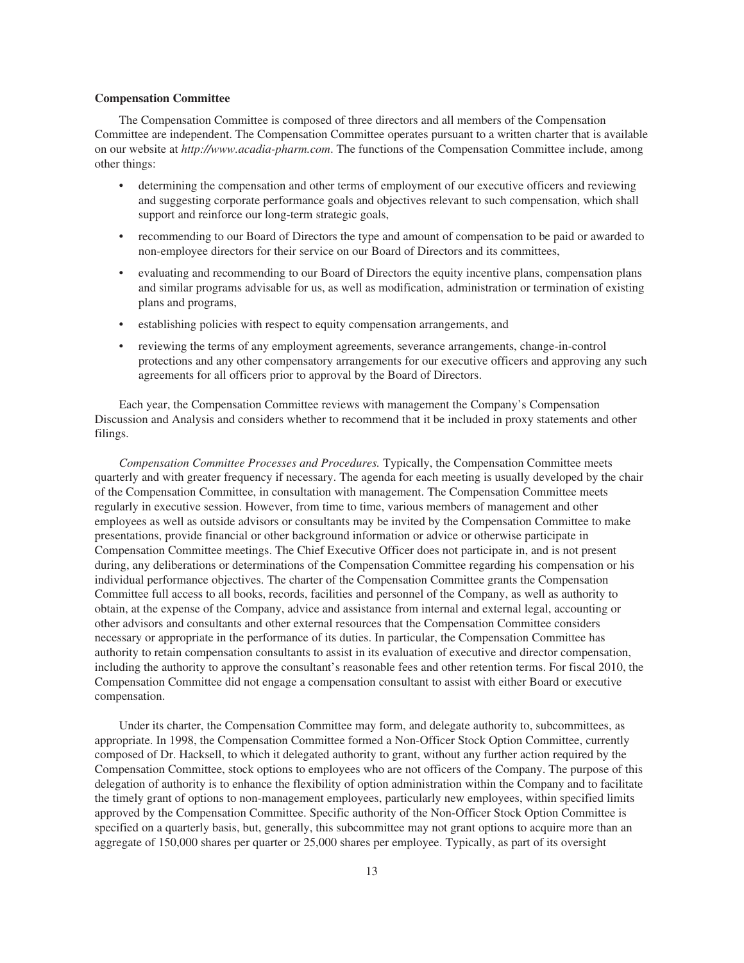### **Compensation Committee**

The Compensation Committee is composed of three directors and all members of the Compensation Committee are independent. The Compensation Committee operates pursuant to a written charter that is available on our website at *http://www.acadia-pharm.com*. The functions of the Compensation Committee include, among other things:

- determining the compensation and other terms of employment of our executive officers and reviewing and suggesting corporate performance goals and objectives relevant to such compensation, which shall support and reinforce our long-term strategic goals,
- recommending to our Board of Directors the type and amount of compensation to be paid or awarded to non-employee directors for their service on our Board of Directors and its committees,
- evaluating and recommending to our Board of Directors the equity incentive plans, compensation plans and similar programs advisable for us, as well as modification, administration or termination of existing plans and programs,
- establishing policies with respect to equity compensation arrangements, and
- reviewing the terms of any employment agreements, severance arrangements, change-in-control protections and any other compensatory arrangements for our executive officers and approving any such agreements for all officers prior to approval by the Board of Directors.

Each year, the Compensation Committee reviews with management the Company's Compensation Discussion and Analysis and considers whether to recommend that it be included in proxy statements and other filings.

*Compensation Committee Processes and Procedures.* Typically, the Compensation Committee meets quarterly and with greater frequency if necessary. The agenda for each meeting is usually developed by the chair of the Compensation Committee, in consultation with management. The Compensation Committee meets regularly in executive session. However, from time to time, various members of management and other employees as well as outside advisors or consultants may be invited by the Compensation Committee to make presentations, provide financial or other background information or advice or otherwise participate in Compensation Committee meetings. The Chief Executive Officer does not participate in, and is not present during, any deliberations or determinations of the Compensation Committee regarding his compensation or his individual performance objectives. The charter of the Compensation Committee grants the Compensation Committee full access to all books, records, facilities and personnel of the Company, as well as authority to obtain, at the expense of the Company, advice and assistance from internal and external legal, accounting or other advisors and consultants and other external resources that the Compensation Committee considers necessary or appropriate in the performance of its duties. In particular, the Compensation Committee has authority to retain compensation consultants to assist in its evaluation of executive and director compensation, including the authority to approve the consultant's reasonable fees and other retention terms. For fiscal 2010, the Compensation Committee did not engage a compensation consultant to assist with either Board or executive compensation.

Under its charter, the Compensation Committee may form, and delegate authority to, subcommittees, as appropriate. In 1998, the Compensation Committee formed a Non-Officer Stock Option Committee, currently composed of Dr. Hacksell, to which it delegated authority to grant, without any further action required by the Compensation Committee, stock options to employees who are not officers of the Company. The purpose of this delegation of authority is to enhance the flexibility of option administration within the Company and to facilitate the timely grant of options to non-management employees, particularly new employees, within specified limits approved by the Compensation Committee. Specific authority of the Non-Officer Stock Option Committee is specified on a quarterly basis, but, generally, this subcommittee may not grant options to acquire more than an aggregate of 150,000 shares per quarter or 25,000 shares per employee. Typically, as part of its oversight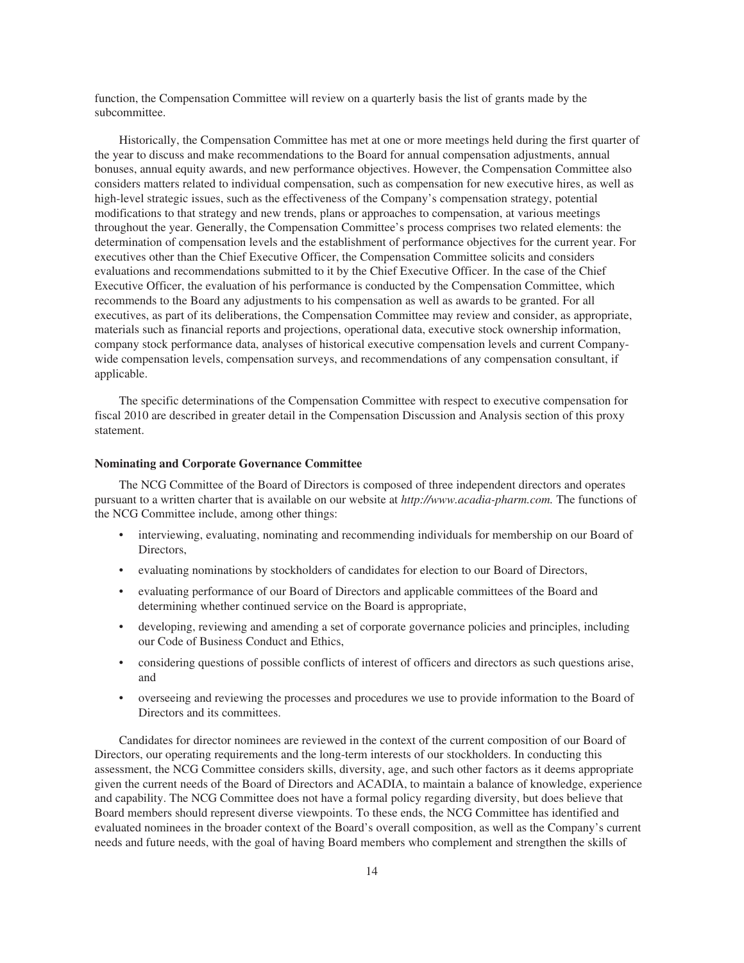function, the Compensation Committee will review on a quarterly basis the list of grants made by the subcommittee.

Historically, the Compensation Committee has met at one or more meetings held during the first quarter of the year to discuss and make recommendations to the Board for annual compensation adjustments, annual bonuses, annual equity awards, and new performance objectives. However, the Compensation Committee also considers matters related to individual compensation, such as compensation for new executive hires, as well as high-level strategic issues, such as the effectiveness of the Company's compensation strategy, potential modifications to that strategy and new trends, plans or approaches to compensation, at various meetings throughout the year. Generally, the Compensation Committee's process comprises two related elements: the determination of compensation levels and the establishment of performance objectives for the current year. For executives other than the Chief Executive Officer, the Compensation Committee solicits and considers evaluations and recommendations submitted to it by the Chief Executive Officer. In the case of the Chief Executive Officer, the evaluation of his performance is conducted by the Compensation Committee, which recommends to the Board any adjustments to his compensation as well as awards to be granted. For all executives, as part of its deliberations, the Compensation Committee may review and consider, as appropriate, materials such as financial reports and projections, operational data, executive stock ownership information, company stock performance data, analyses of historical executive compensation levels and current Companywide compensation levels, compensation surveys, and recommendations of any compensation consultant, if applicable.

The specific determinations of the Compensation Committee with respect to executive compensation for fiscal 2010 are described in greater detail in the Compensation Discussion and Analysis section of this proxy statement.

### **Nominating and Corporate Governance Committee**

The NCG Committee of the Board of Directors is composed of three independent directors and operates pursuant to a written charter that is available on our website at *http://www.acadia-pharm.com.* The functions of the NCG Committee include, among other things:

- interviewing, evaluating, nominating and recommending individuals for membership on our Board of Directors,
- evaluating nominations by stockholders of candidates for election to our Board of Directors,
- evaluating performance of our Board of Directors and applicable committees of the Board and determining whether continued service on the Board is appropriate,
- developing, reviewing and amending a set of corporate governance policies and principles, including our Code of Business Conduct and Ethics,
- considering questions of possible conflicts of interest of officers and directors as such questions arise, and
- overseeing and reviewing the processes and procedures we use to provide information to the Board of Directors and its committees.

Candidates for director nominees are reviewed in the context of the current composition of our Board of Directors, our operating requirements and the long-term interests of our stockholders. In conducting this assessment, the NCG Committee considers skills, diversity, age, and such other factors as it deems appropriate given the current needs of the Board of Directors and ACADIA, to maintain a balance of knowledge, experience and capability. The NCG Committee does not have a formal policy regarding diversity, but does believe that Board members should represent diverse viewpoints. To these ends, the NCG Committee has identified and evaluated nominees in the broader context of the Board's overall composition, as well as the Company's current needs and future needs, with the goal of having Board members who complement and strengthen the skills of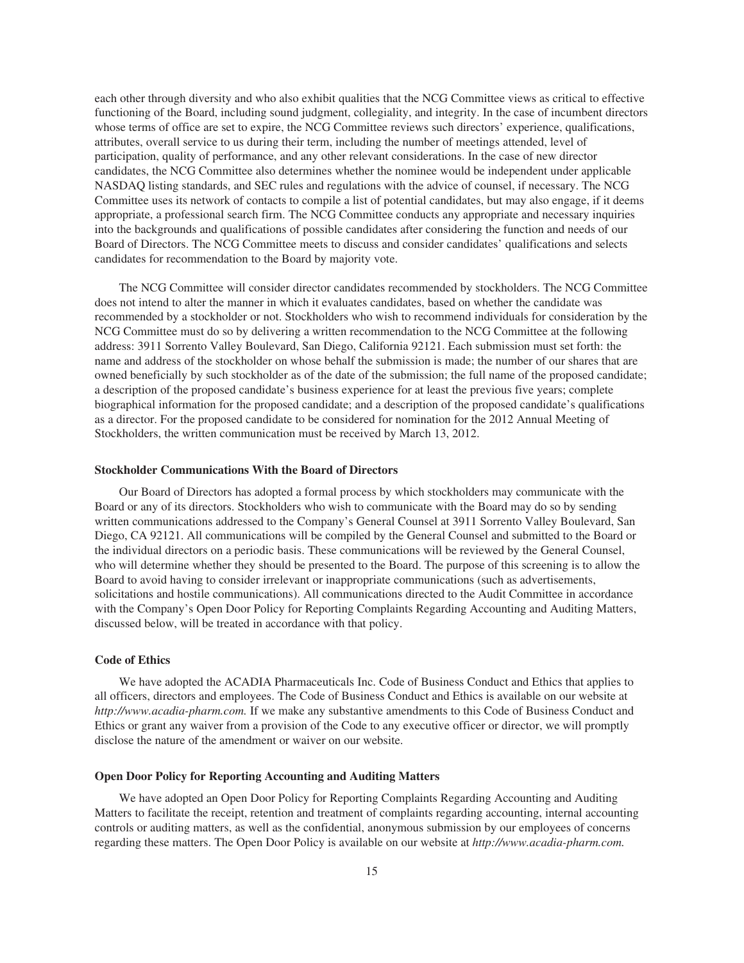each other through diversity and who also exhibit qualities that the NCG Committee views as critical to effective functioning of the Board, including sound judgment, collegiality, and integrity. In the case of incumbent directors whose terms of office are set to expire, the NCG Committee reviews such directors' experience, qualifications, attributes, overall service to us during their term, including the number of meetings attended, level of participation, quality of performance, and any other relevant considerations. In the case of new director candidates, the NCG Committee also determines whether the nominee would be independent under applicable NASDAQ listing standards, and SEC rules and regulations with the advice of counsel, if necessary. The NCG Committee uses its network of contacts to compile a list of potential candidates, but may also engage, if it deems appropriate, a professional search firm. The NCG Committee conducts any appropriate and necessary inquiries into the backgrounds and qualifications of possible candidates after considering the function and needs of our Board of Directors. The NCG Committee meets to discuss and consider candidates' qualifications and selects candidates for recommendation to the Board by majority vote.

The NCG Committee will consider director candidates recommended by stockholders. The NCG Committee does not intend to alter the manner in which it evaluates candidates, based on whether the candidate was recommended by a stockholder or not. Stockholders who wish to recommend individuals for consideration by the NCG Committee must do so by delivering a written recommendation to the NCG Committee at the following address: 3911 Sorrento Valley Boulevard, San Diego, California 92121. Each submission must set forth: the name and address of the stockholder on whose behalf the submission is made; the number of our shares that are owned beneficially by such stockholder as of the date of the submission; the full name of the proposed candidate; a description of the proposed candidate's business experience for at least the previous five years; complete biographical information for the proposed candidate; and a description of the proposed candidate's qualifications as a director. For the proposed candidate to be considered for nomination for the 2012 Annual Meeting of Stockholders, the written communication must be received by March 13, 2012.

### **Stockholder Communications With the Board of Directors**

Our Board of Directors has adopted a formal process by which stockholders may communicate with the Board or any of its directors. Stockholders who wish to communicate with the Board may do so by sending written communications addressed to the Company's General Counsel at 3911 Sorrento Valley Boulevard, San Diego, CA 92121. All communications will be compiled by the General Counsel and submitted to the Board or the individual directors on a periodic basis. These communications will be reviewed by the General Counsel, who will determine whether they should be presented to the Board. The purpose of this screening is to allow the Board to avoid having to consider irrelevant or inappropriate communications (such as advertisements, solicitations and hostile communications). All communications directed to the Audit Committee in accordance with the Company's Open Door Policy for Reporting Complaints Regarding Accounting and Auditing Matters, discussed below, will be treated in accordance with that policy.

### **Code of Ethics**

We have adopted the ACADIA Pharmaceuticals Inc. Code of Business Conduct and Ethics that applies to all officers, directors and employees. The Code of Business Conduct and Ethics is available on our website at *http://www.acadia-pharm.com.* If we make any substantive amendments to this Code of Business Conduct and Ethics or grant any waiver from a provision of the Code to any executive officer or director, we will promptly disclose the nature of the amendment or waiver on our website.

## **Open Door Policy for Reporting Accounting and Auditing Matters**

We have adopted an Open Door Policy for Reporting Complaints Regarding Accounting and Auditing Matters to facilitate the receipt, retention and treatment of complaints regarding accounting, internal accounting controls or auditing matters, as well as the confidential, anonymous submission by our employees of concerns regarding these matters. The Open Door Policy is available on our website at *http://www.acadia-pharm.com.*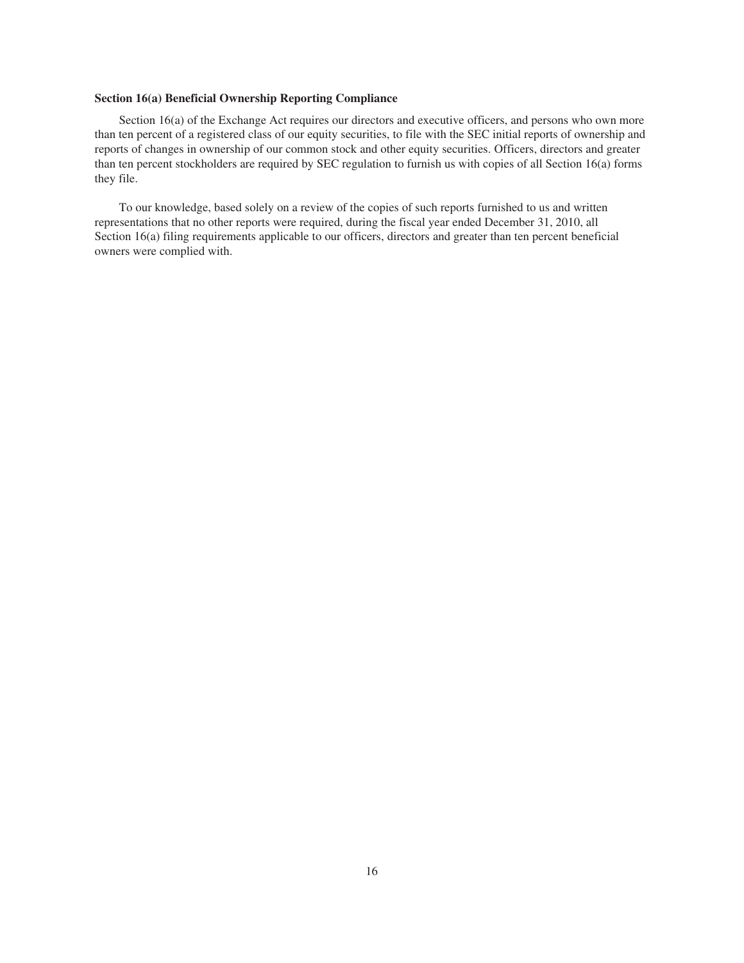## **Section 16(a) Beneficial Ownership Reporting Compliance**

Section 16(a) of the Exchange Act requires our directors and executive officers, and persons who own more than ten percent of a registered class of our equity securities, to file with the SEC initial reports of ownership and reports of changes in ownership of our common stock and other equity securities. Officers, directors and greater than ten percent stockholders are required by SEC regulation to furnish us with copies of all Section 16(a) forms they file.

To our knowledge, based solely on a review of the copies of such reports furnished to us and written representations that no other reports were required, during the fiscal year ended December 31, 2010, all Section 16(a) filing requirements applicable to our officers, directors and greater than ten percent beneficial owners were complied with.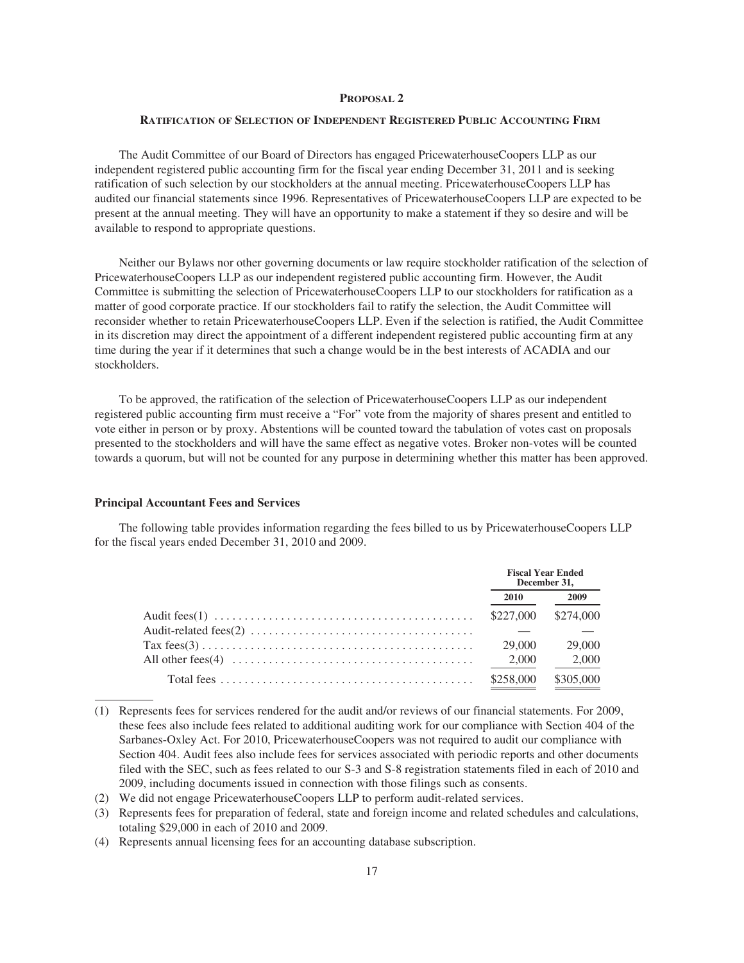### **PROPOSAL 2**

### **RATIFICATION OF SELECTION OF INDEPENDENT REGISTERED PUBLIC ACCOUNTING FIRM**

The Audit Committee of our Board of Directors has engaged PricewaterhouseCoopers LLP as our independent registered public accounting firm for the fiscal year ending December 31, 2011 and is seeking ratification of such selection by our stockholders at the annual meeting. PricewaterhouseCoopers LLP has audited our financial statements since 1996. Representatives of PricewaterhouseCoopers LLP are expected to be present at the annual meeting. They will have an opportunity to make a statement if they so desire and will be available to respond to appropriate questions.

Neither our Bylaws nor other governing documents or law require stockholder ratification of the selection of PricewaterhouseCoopers LLP as our independent registered public accounting firm. However, the Audit Committee is submitting the selection of PricewaterhouseCoopers LLP to our stockholders for ratification as a matter of good corporate practice. If our stockholders fail to ratify the selection, the Audit Committee will reconsider whether to retain PricewaterhouseCoopers LLP. Even if the selection is ratified, the Audit Committee in its discretion may direct the appointment of a different independent registered public accounting firm at any time during the year if it determines that such a change would be in the best interests of ACADIA and our stockholders.

To be approved, the ratification of the selection of PricewaterhouseCoopers LLP as our independent registered public accounting firm must receive a "For" vote from the majority of shares present and entitled to vote either in person or by proxy. Abstentions will be counted toward the tabulation of votes cast on proposals presented to the stockholders and will have the same effect as negative votes. Broker non-votes will be counted towards a quorum, but will not be counted for any purpose in determining whether this matter has been approved.

#### **Principal Accountant Fees and Services**

The following table provides information regarding the fees billed to us by PricewaterhouseCoopers LLP for the fiscal years ended December 31, 2010 and 2009.

|                                                                                                                | <b>Fiscal Year Ended</b><br>December 31, |           |
|----------------------------------------------------------------------------------------------------------------|------------------------------------------|-----------|
|                                                                                                                | 2010                                     | 2009      |
|                                                                                                                | \$227,000                                | \$274,000 |
| Audit-related fees(2) $\dots \dots \dots \dots \dots \dots \dots \dots \dots \dots \dots \dots$                |                                          |           |
| $\text{Tax fees}(3) \dots \dots \dots \dots \dots \dots \dots \dots \dots \dots \dots \dots \dots \dots \dots$ | 29,000                                   | 29,000    |
| All other fees(4) $\dots \dots \dots \dots \dots \dots \dots \dots \dots \dots \dots \dots \dots$              | 2.000                                    | 2.000     |
|                                                                                                                | \$258,000                                | \$305,000 |

<sup>(1)</sup> Represents fees for services rendered for the audit and/or reviews of our financial statements. For 2009, these fees also include fees related to additional auditing work for our compliance with Section 404 of the Sarbanes-Oxley Act. For 2010, PricewaterhouseCoopers was not required to audit our compliance with Section 404. Audit fees also include fees for services associated with periodic reports and other documents filed with the SEC, such as fees related to our S-3 and S-8 registration statements filed in each of 2010 and 2009, including documents issued in connection with those filings such as consents.

(4) Represents annual licensing fees for an accounting database subscription.

<sup>(2)</sup> We did not engage PricewaterhouseCoopers LLP to perform audit-related services.

<sup>(3)</sup> Represents fees for preparation of federal, state and foreign income and related schedules and calculations, totaling \$29,000 in each of 2010 and 2009.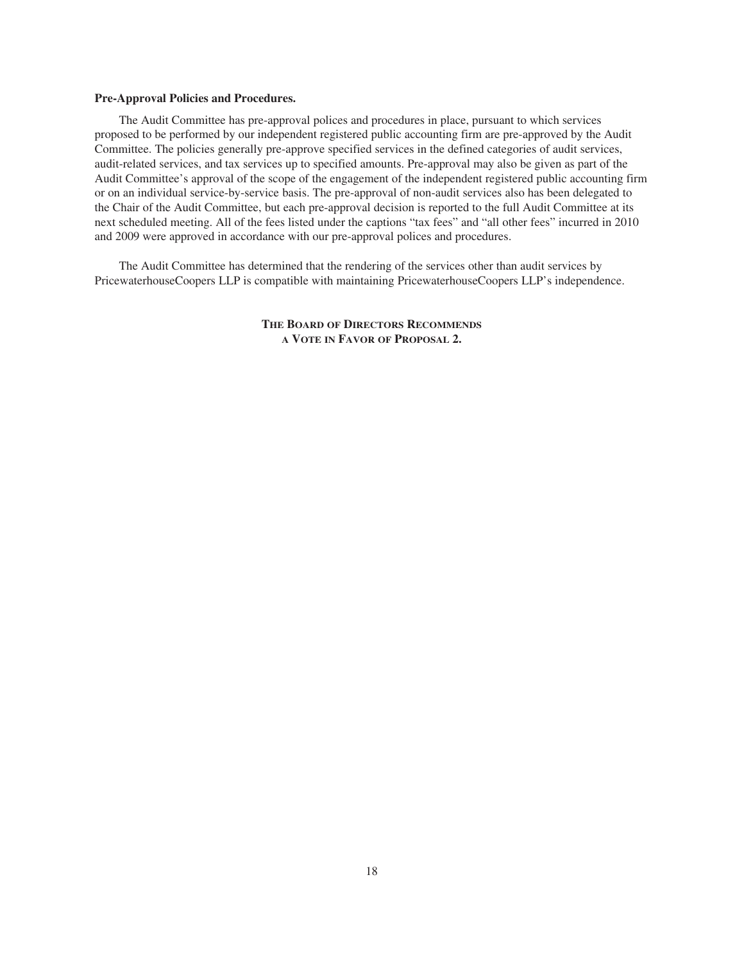### **Pre-Approval Policies and Procedures.**

The Audit Committee has pre-approval polices and procedures in place, pursuant to which services proposed to be performed by our independent registered public accounting firm are pre-approved by the Audit Committee. The policies generally pre-approve specified services in the defined categories of audit services, audit-related services, and tax services up to specified amounts. Pre-approval may also be given as part of the Audit Committee's approval of the scope of the engagement of the independent registered public accounting firm or on an individual service-by-service basis. The pre-approval of non-audit services also has been delegated to the Chair of the Audit Committee, but each pre-approval decision is reported to the full Audit Committee at its next scheduled meeting. All of the fees listed under the captions "tax fees" and "all other fees" incurred in 2010 and 2009 were approved in accordance with our pre-approval polices and procedures.

The Audit Committee has determined that the rendering of the services other than audit services by PricewaterhouseCoopers LLP is compatible with maintaining PricewaterhouseCoopers LLP's independence.

> **THE BOARD OF DIRECTORS RECOMMENDS A VOTE IN FAVOR OF PROPOSAL 2.**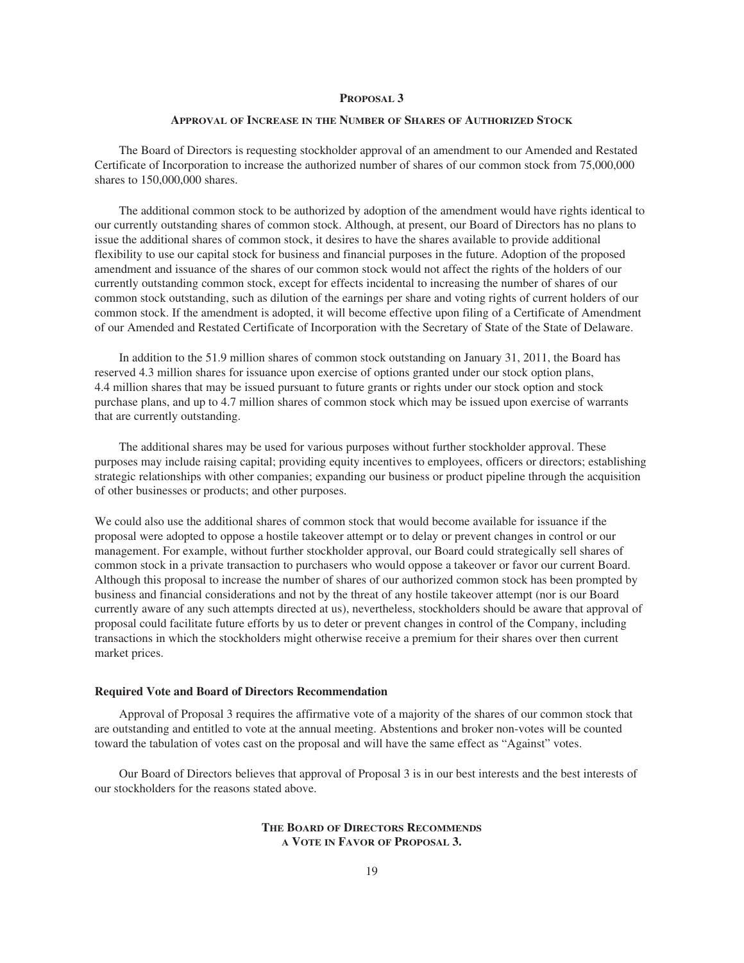#### **PROPOSAL 3**

## **APPROVAL OF INCREASE IN THE NUMBER OF SHARES OF AUTHORIZED STOCK**

The Board of Directors is requesting stockholder approval of an amendment to our Amended and Restated Certificate of Incorporation to increase the authorized number of shares of our common stock from 75,000,000 shares to 150,000,000 shares.

The additional common stock to be authorized by adoption of the amendment would have rights identical to our currently outstanding shares of common stock. Although, at present, our Board of Directors has no plans to issue the additional shares of common stock, it desires to have the shares available to provide additional flexibility to use our capital stock for business and financial purposes in the future. Adoption of the proposed amendment and issuance of the shares of our common stock would not affect the rights of the holders of our currently outstanding common stock, except for effects incidental to increasing the number of shares of our common stock outstanding, such as dilution of the earnings per share and voting rights of current holders of our common stock. If the amendment is adopted, it will become effective upon filing of a Certificate of Amendment of our Amended and Restated Certificate of Incorporation with the Secretary of State of the State of Delaware.

In addition to the 51.9 million shares of common stock outstanding on January 31, 2011, the Board has reserved 4.3 million shares for issuance upon exercise of options granted under our stock option plans, 4.4 million shares that may be issued pursuant to future grants or rights under our stock option and stock purchase plans, and up to 4.7 million shares of common stock which may be issued upon exercise of warrants that are currently outstanding.

The additional shares may be used for various purposes without further stockholder approval. These purposes may include raising capital; providing equity incentives to employees, officers or directors; establishing strategic relationships with other companies; expanding our business or product pipeline through the acquisition of other businesses or products; and other purposes.

We could also use the additional shares of common stock that would become available for issuance if the proposal were adopted to oppose a hostile takeover attempt or to delay or prevent changes in control or our management. For example, without further stockholder approval, our Board could strategically sell shares of common stock in a private transaction to purchasers who would oppose a takeover or favor our current Board. Although this proposal to increase the number of shares of our authorized common stock has been prompted by business and financial considerations and not by the threat of any hostile takeover attempt (nor is our Board currently aware of any such attempts directed at us), nevertheless, stockholders should be aware that approval of proposal could facilitate future efforts by us to deter or prevent changes in control of the Company, including transactions in which the stockholders might otherwise receive a premium for their shares over then current market prices.

#### **Required Vote and Board of Directors Recommendation**

Approval of Proposal 3 requires the affirmative vote of a majority of the shares of our common stock that are outstanding and entitled to vote at the annual meeting. Abstentions and broker non-votes will be counted toward the tabulation of votes cast on the proposal and will have the same effect as "Against" votes.

Our Board of Directors believes that approval of Proposal 3 is in our best interests and the best interests of our stockholders for the reasons stated above.

> **THE BOARD OF DIRECTORS RECOMMENDS A VOTE IN FAVOR OF PROPOSAL 3.**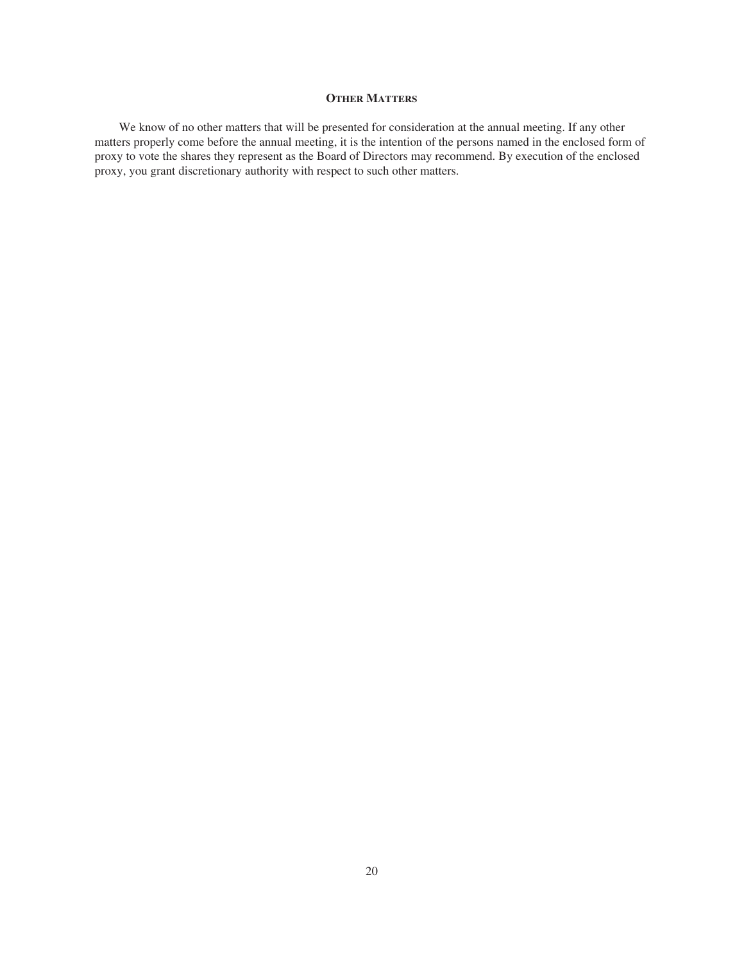# **OTHER MATTERS**

We know of no other matters that will be presented for consideration at the annual meeting. If any other matters properly come before the annual meeting, it is the intention of the persons named in the enclosed form of proxy to vote the shares they represent as the Board of Directors may recommend. By execution of the enclosed proxy, you grant discretionary authority with respect to such other matters.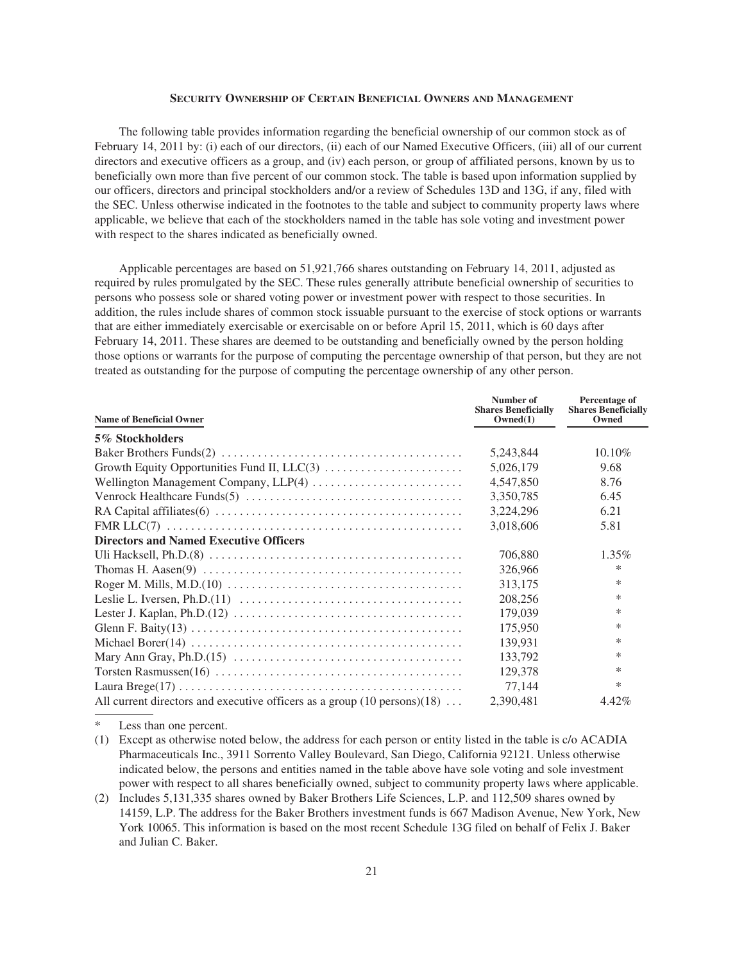## **SECURITY OWNERSHIP OF CERTAIN BENEFICIAL OWNERS AND MANAGEMENT**

The following table provides information regarding the beneficial ownership of our common stock as of February 14, 2011 by: (i) each of our directors, (ii) each of our Named Executive Officers, (iii) all of our current directors and executive officers as a group, and (iv) each person, or group of affiliated persons, known by us to beneficially own more than five percent of our common stock. The table is based upon information supplied by our officers, directors and principal stockholders and/or a review of Schedules 13D and 13G, if any, filed with the SEC. Unless otherwise indicated in the footnotes to the table and subject to community property laws where applicable, we believe that each of the stockholders named in the table has sole voting and investment power with respect to the shares indicated as beneficially owned.

Applicable percentages are based on 51,921,766 shares outstanding on February 14, 2011, adjusted as required by rules promulgated by the SEC. These rules generally attribute beneficial ownership of securities to persons who possess sole or shared voting power or investment power with respect to those securities. In addition, the rules include shares of common stock issuable pursuant to the exercise of stock options or warrants that are either immediately exercisable or exercisable on or before April 15, 2011, which is 60 days after February 14, 2011. These shares are deemed to be outstanding and beneficially owned by the person holding those options or warrants for the purpose of computing the percentage ownership of that person, but they are not treated as outstanding for the purpose of computing the percentage ownership of any other person.

| <b>Name of Beneficial Owner</b>                                                          | Number of<br><b>Shares Beneficially</b><br>Owned(1) | Percentage of<br><b>Shares Beneficially</b><br>Owned |
|------------------------------------------------------------------------------------------|-----------------------------------------------------|------------------------------------------------------|
| 5% Stockholders                                                                          |                                                     |                                                      |
|                                                                                          | 5,243,844                                           | 10.10%                                               |
|                                                                                          | 5,026,179                                           | 9.68                                                 |
|                                                                                          | 4,547,850                                           | 8.76                                                 |
|                                                                                          | 3,350,785                                           | 6.45                                                 |
|                                                                                          | 3,224,296                                           | 6.21                                                 |
|                                                                                          | 3,018,606                                           | 5.81                                                 |
| <b>Directors and Named Executive Officers</b>                                            |                                                     |                                                      |
|                                                                                          | 706,880                                             | $1.35\%$                                             |
|                                                                                          | 326,966                                             | $\ast$                                               |
|                                                                                          | 313,175                                             | *                                                    |
|                                                                                          | 208,256                                             | $\ast$                                               |
|                                                                                          | 179,039                                             | *                                                    |
|                                                                                          | 175,950                                             | *                                                    |
|                                                                                          | 139,931                                             | *                                                    |
|                                                                                          | 133,792                                             | $\ast$                                               |
|                                                                                          | 129,378                                             | $\ast$                                               |
|                                                                                          | 77,144                                              | *                                                    |
| All current directors and executive officers as a group $(10 \text{ persons})(18) \dots$ | 2,390,481                                           | 4.42%                                                |

Less than one percent.

<sup>(1)</sup> Except as otherwise noted below, the address for each person or entity listed in the table is c/o ACADIA Pharmaceuticals Inc., 3911 Sorrento Valley Boulevard, San Diego, California 92121. Unless otherwise indicated below, the persons and entities named in the table above have sole voting and sole investment power with respect to all shares beneficially owned, subject to community property laws where applicable.

<sup>(2)</sup> Includes 5,131,335 shares owned by Baker Brothers Life Sciences, L.P. and 112,509 shares owned by 14159, L.P. The address for the Baker Brothers investment funds is 667 Madison Avenue, New York, New York 10065. This information is based on the most recent Schedule 13G filed on behalf of Felix J. Baker and Julian C. Baker.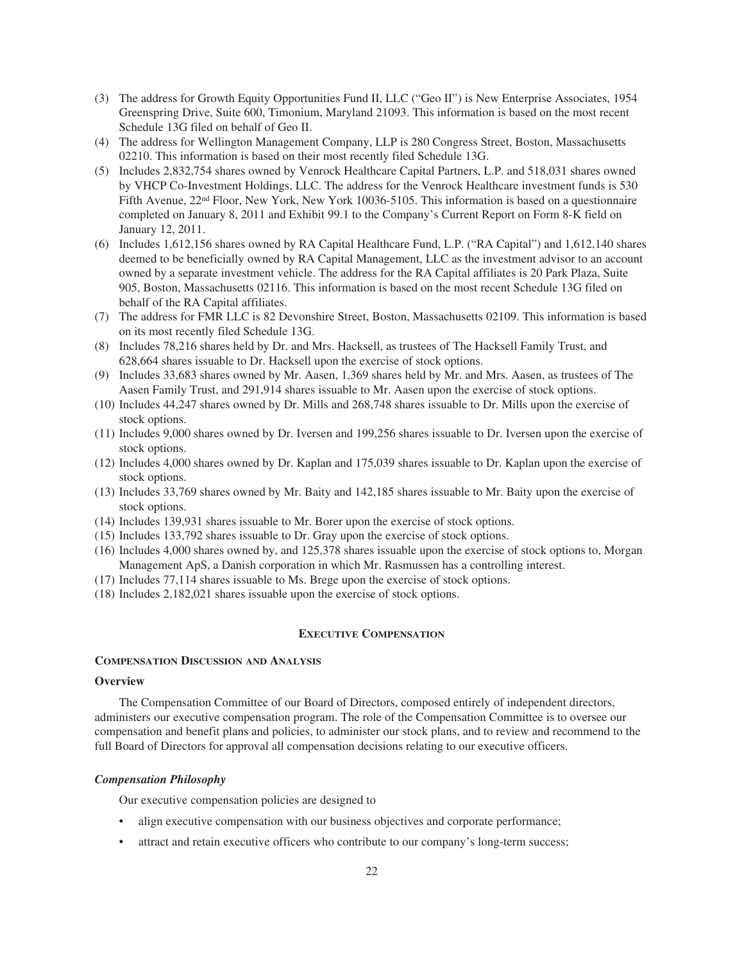- (3) The address for Growth Equity Opportunities Fund II, LLC ("Geo II") is New Enterprise Associates, 1954 Greenspring Drive, Suite 600, Timonium, Maryland 21093. This information is based on the most recent Schedule 13G filed on behalf of Geo II.
- (4) The address for Wellington Management Company, LLP is 280 Congress Street, Boston, Massachusetts 02210. This information is based on their most recently filed Schedule 13G.
- (5) Includes 2,832,754 shares owned by Venrock Healthcare Capital Partners, L.P. and 518,031 shares owned by VHCP Co-Investment Holdings, LLC. The address for the Venrock Healthcare investment funds is 530 Fifth Avenue, 22<sup>nd</sup> Floor, New York, New York 10036-5105. This information is based on a questionnaire completed on January 8, 2011 and Exhibit 99.1 to the Company's Current Report on Form 8-K field on January 12, 2011.
- (6) Includes 1,612,156 shares owned by RA Capital Healthcare Fund, L.P. ("RA Capital") and 1,612,140 shares deemed to be beneficially owned by RA Capital Management, LLC as the investment advisor to an account owned by a separate investment vehicle. The address for the RA Capital affiliates is 20 Park Plaza, Suite 905, Boston, Massachusetts 02116. This information is based on the most recent Schedule 13G filed on behalf of the RA Capital affiliates.
- (7) The address for FMR LLC is 82 Devonshire Street, Boston, Massachusetts 02109. This information is based on its most recently filed Schedule 13G.
- (8) Includes 78,216 shares held by Dr. and Mrs. Hacksell, as trustees of The Hacksell Family Trust, and 628,664 shares issuable to Dr. Hacksell upon the exercise of stock options.
- (9) Includes 33,683 shares owned by Mr. Aasen, 1,369 shares held by Mr. and Mrs. Aasen, as trustees of The Aasen Family Trust, and 291,914 shares issuable to Mr. Aasen upon the exercise of stock options.
- (10) Includes 44,247 shares owned by Dr. Mills and 268,748 shares issuable to Dr. Mills upon the exercise of stock options.
- (11) Includes 9,000 shares owned by Dr. Iversen and 199,256 shares issuable to Dr. Iversen upon the exercise of stock options.
- (12) Includes 4,000 shares owned by Dr. Kaplan and 175,039 shares issuable to Dr. Kaplan upon the exercise of stock options.
- (13) Includes 33,769 shares owned by Mr. Baity and 142,185 shares issuable to Mr. Baity upon the exercise of stock options.
- (14) Includes 139,931 shares issuable to Mr. Borer upon the exercise of stock options.
- (15) Includes 133,792 shares issuable to Dr. Gray upon the exercise of stock options.
- (16) Includes 4,000 shares owned by, and 125,378 shares issuable upon the exercise of stock options to, Morgan Management ApS, a Danish corporation in which Mr. Rasmussen has a controlling interest.
- (17) Includes 77,114 shares issuable to Ms. Brege upon the exercise of stock options.
- (18) Includes 2,182,021 shares issuable upon the exercise of stock options.

## **EXECUTIVE COMPENSATION**

### **COMPENSATION DISCUSSION AND ANALYSIS**

## **Overview**

The Compensation Committee of our Board of Directors, composed entirely of independent directors, administers our executive compensation program. The role of the Compensation Committee is to oversee our compensation and benefit plans and policies, to administer our stock plans, and to review and recommend to the full Board of Directors for approval all compensation decisions relating to our executive officers.

#### *Compensation Philosophy*

Our executive compensation policies are designed to

- align executive compensation with our business objectives and corporate performance;
- attract and retain executive officers who contribute to our company's long-term success;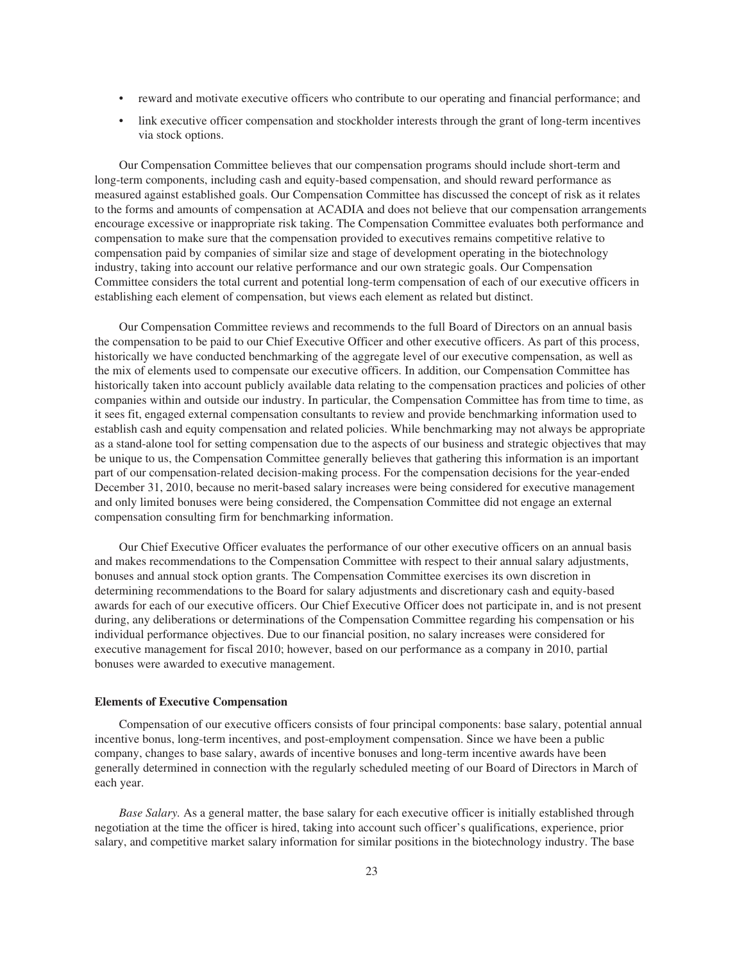- reward and motivate executive officers who contribute to our operating and financial performance; and
- link executive officer compensation and stockholder interests through the grant of long-term incentives via stock options.

Our Compensation Committee believes that our compensation programs should include short-term and long-term components, including cash and equity-based compensation, and should reward performance as measured against established goals. Our Compensation Committee has discussed the concept of risk as it relates to the forms and amounts of compensation at ACADIA and does not believe that our compensation arrangements encourage excessive or inappropriate risk taking. The Compensation Committee evaluates both performance and compensation to make sure that the compensation provided to executives remains competitive relative to compensation paid by companies of similar size and stage of development operating in the biotechnology industry, taking into account our relative performance and our own strategic goals. Our Compensation Committee considers the total current and potential long-term compensation of each of our executive officers in establishing each element of compensation, but views each element as related but distinct.

Our Compensation Committee reviews and recommends to the full Board of Directors on an annual basis the compensation to be paid to our Chief Executive Officer and other executive officers. As part of this process, historically we have conducted benchmarking of the aggregate level of our executive compensation, as well as the mix of elements used to compensate our executive officers. In addition, our Compensation Committee has historically taken into account publicly available data relating to the compensation practices and policies of other companies within and outside our industry. In particular, the Compensation Committee has from time to time, as it sees fit, engaged external compensation consultants to review and provide benchmarking information used to establish cash and equity compensation and related policies. While benchmarking may not always be appropriate as a stand-alone tool for setting compensation due to the aspects of our business and strategic objectives that may be unique to us, the Compensation Committee generally believes that gathering this information is an important part of our compensation-related decision-making process. For the compensation decisions for the year-ended December 31, 2010, because no merit-based salary increases were being considered for executive management and only limited bonuses were being considered, the Compensation Committee did not engage an external compensation consulting firm for benchmarking information.

Our Chief Executive Officer evaluates the performance of our other executive officers on an annual basis and makes recommendations to the Compensation Committee with respect to their annual salary adjustments, bonuses and annual stock option grants. The Compensation Committee exercises its own discretion in determining recommendations to the Board for salary adjustments and discretionary cash and equity-based awards for each of our executive officers. Our Chief Executive Officer does not participate in, and is not present during, any deliberations or determinations of the Compensation Committee regarding his compensation or his individual performance objectives. Due to our financial position, no salary increases were considered for executive management for fiscal 2010; however, based on our performance as a company in 2010, partial bonuses were awarded to executive management.

### **Elements of Executive Compensation**

Compensation of our executive officers consists of four principal components: base salary, potential annual incentive bonus, long-term incentives, and post-employment compensation. Since we have been a public company, changes to base salary, awards of incentive bonuses and long-term incentive awards have been generally determined in connection with the regularly scheduled meeting of our Board of Directors in March of each year.

*Base Salary.* As a general matter, the base salary for each executive officer is initially established through negotiation at the time the officer is hired, taking into account such officer's qualifications, experience, prior salary, and competitive market salary information for similar positions in the biotechnology industry. The base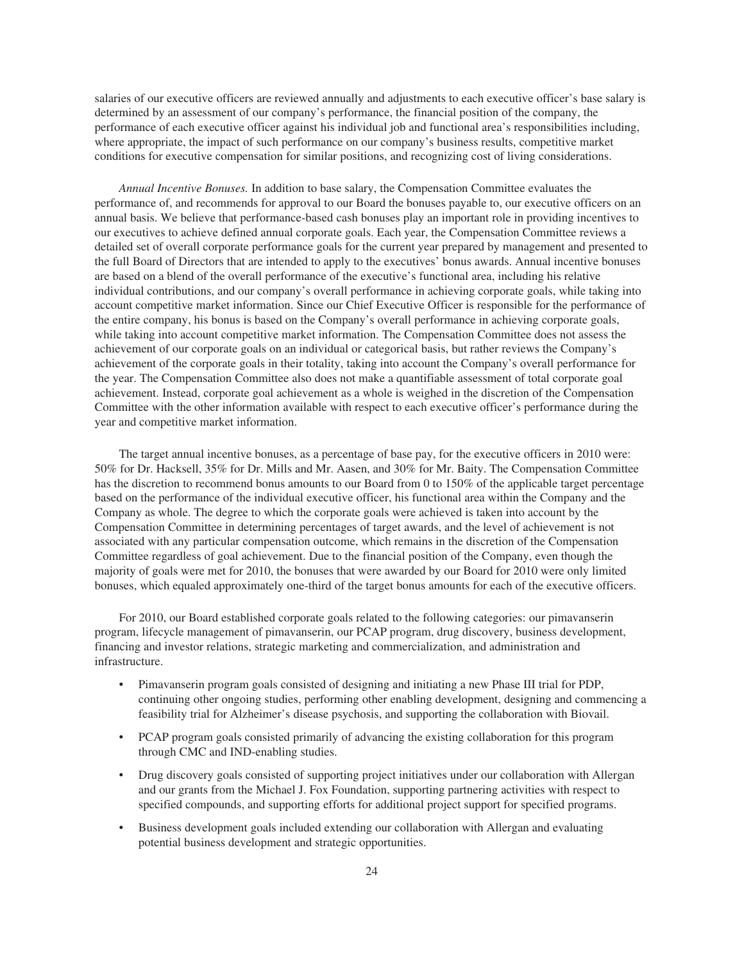salaries of our executive officers are reviewed annually and adjustments to each executive officer's base salary is determined by an assessment of our company's performance, the financial position of the company, the performance of each executive officer against his individual job and functional area's responsibilities including, where appropriate, the impact of such performance on our company's business results, competitive market conditions for executive compensation for similar positions, and recognizing cost of living considerations.

*Annual Incentive Bonuses.* In addition to base salary, the Compensation Committee evaluates the performance of, and recommends for approval to our Board the bonuses payable to, our executive officers on an annual basis. We believe that performance-based cash bonuses play an important role in providing incentives to our executives to achieve defined annual corporate goals. Each year, the Compensation Committee reviews a detailed set of overall corporate performance goals for the current year prepared by management and presented to the full Board of Directors that are intended to apply to the executives' bonus awards. Annual incentive bonuses are based on a blend of the overall performance of the executive's functional area, including his relative individual contributions, and our company's overall performance in achieving corporate goals, while taking into account competitive market information. Since our Chief Executive Officer is responsible for the performance of the entire company, his bonus is based on the Company's overall performance in achieving corporate goals, while taking into account competitive market information. The Compensation Committee does not assess the achievement of our corporate goals on an individual or categorical basis, but rather reviews the Company's achievement of the corporate goals in their totality, taking into account the Company's overall performance for the year. The Compensation Committee also does not make a quantifiable assessment of total corporate goal achievement. Instead, corporate goal achievement as a whole is weighed in the discretion of the Compensation Committee with the other information available with respect to each executive officer's performance during the year and competitive market information.

The target annual incentive bonuses, as a percentage of base pay, for the executive officers in 2010 were: 50% for Dr. Hacksell, 35% for Dr. Mills and Mr. Aasen, and 30% for Mr. Baity. The Compensation Committee has the discretion to recommend bonus amounts to our Board from 0 to 150% of the applicable target percentage based on the performance of the individual executive officer, his functional area within the Company and the Company as whole. The degree to which the corporate goals were achieved is taken into account by the Compensation Committee in determining percentages of target awards, and the level of achievement is not associated with any particular compensation outcome, which remains in the discretion of the Compensation Committee regardless of goal achievement. Due to the financial position of the Company, even though the majority of goals were met for 2010, the bonuses that were awarded by our Board for 2010 were only limited bonuses, which equaled approximately one-third of the target bonus amounts for each of the executive officers.

For 2010, our Board established corporate goals related to the following categories: our pimavanserin program, lifecycle management of pimavanserin, our PCAP program, drug discovery, business development, financing and investor relations, strategic marketing and commercialization, and administration and infrastructure.

- Pimavanserin program goals consisted of designing and initiating a new Phase III trial for PDP, continuing other ongoing studies, performing other enabling development, designing and commencing a feasibility trial for Alzheimer's disease psychosis, and supporting the collaboration with Biovail.
- PCAP program goals consisted primarily of advancing the existing collaboration for this program through CMC and IND-enabling studies.
- Drug discovery goals consisted of supporting project initiatives under our collaboration with Allergan and our grants from the Michael J. Fox Foundation, supporting partnering activities with respect to specified compounds, and supporting efforts for additional project support for specified programs.
- Business development goals included extending our collaboration with Allergan and evaluating potential business development and strategic opportunities.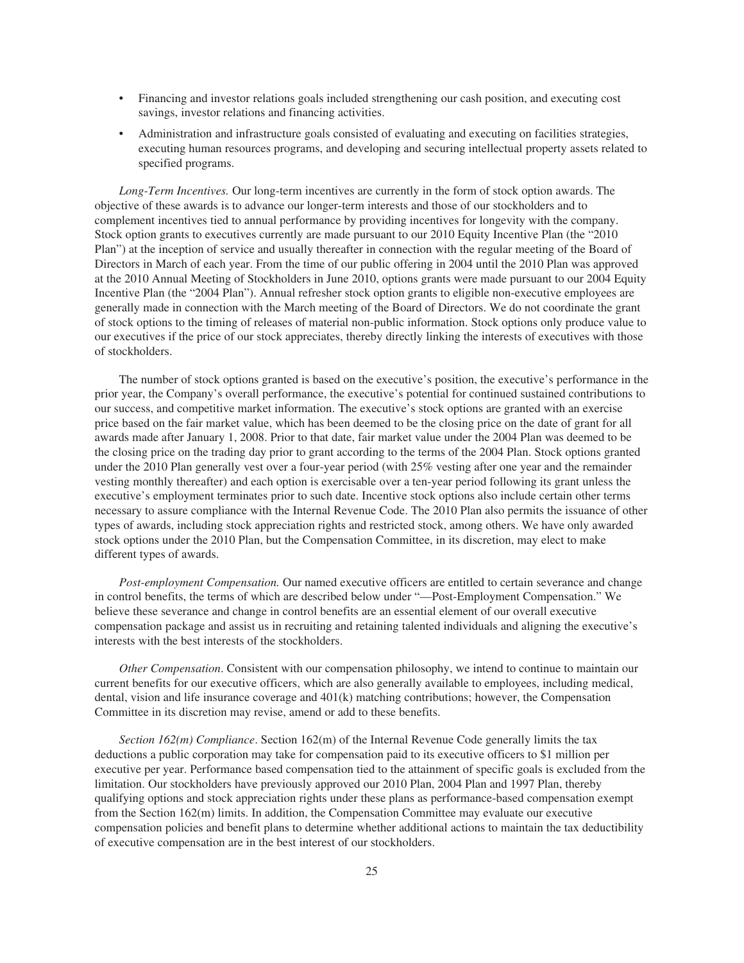- Financing and investor relations goals included strengthening our cash position, and executing cost savings, investor relations and financing activities.
- Administration and infrastructure goals consisted of evaluating and executing on facilities strategies, executing human resources programs, and developing and securing intellectual property assets related to specified programs.

*Long-Term Incentives.* Our long-term incentives are currently in the form of stock option awards. The objective of these awards is to advance our longer-term interests and those of our stockholders and to complement incentives tied to annual performance by providing incentives for longevity with the company. Stock option grants to executives currently are made pursuant to our 2010 Equity Incentive Plan (the "2010 Plan") at the inception of service and usually thereafter in connection with the regular meeting of the Board of Directors in March of each year. From the time of our public offering in 2004 until the 2010 Plan was approved at the 2010 Annual Meeting of Stockholders in June 2010, options grants were made pursuant to our 2004 Equity Incentive Plan (the "2004 Plan"). Annual refresher stock option grants to eligible non-executive employees are generally made in connection with the March meeting of the Board of Directors. We do not coordinate the grant of stock options to the timing of releases of material non-public information. Stock options only produce value to our executives if the price of our stock appreciates, thereby directly linking the interests of executives with those of stockholders.

The number of stock options granted is based on the executive's position, the executive's performance in the prior year, the Company's overall performance, the executive's potential for continued sustained contributions to our success, and competitive market information. The executive's stock options are granted with an exercise price based on the fair market value, which has been deemed to be the closing price on the date of grant for all awards made after January 1, 2008. Prior to that date, fair market value under the 2004 Plan was deemed to be the closing price on the trading day prior to grant according to the terms of the 2004 Plan. Stock options granted under the 2010 Plan generally vest over a four-year period (with 25% vesting after one year and the remainder vesting monthly thereafter) and each option is exercisable over a ten-year period following its grant unless the executive's employment terminates prior to such date. Incentive stock options also include certain other terms necessary to assure compliance with the Internal Revenue Code. The 2010 Plan also permits the issuance of other types of awards, including stock appreciation rights and restricted stock, among others. We have only awarded stock options under the 2010 Plan, but the Compensation Committee, in its discretion, may elect to make different types of awards.

*Post-employment Compensation.* Our named executive officers are entitled to certain severance and change in control benefits, the terms of which are described below under "—Post-Employment Compensation." We believe these severance and change in control benefits are an essential element of our overall executive compensation package and assist us in recruiting and retaining talented individuals and aligning the executive's interests with the best interests of the stockholders.

*Other Compensation*. Consistent with our compensation philosophy, we intend to continue to maintain our current benefits for our executive officers, which are also generally available to employees, including medical, dental, vision and life insurance coverage and 401(k) matching contributions; however, the Compensation Committee in its discretion may revise, amend or add to these benefits.

*Section 162(m) Compliance*. Section 162(m) of the Internal Revenue Code generally limits the tax deductions a public corporation may take for compensation paid to its executive officers to \$1 million per executive per year. Performance based compensation tied to the attainment of specific goals is excluded from the limitation. Our stockholders have previously approved our 2010 Plan, 2004 Plan and 1997 Plan, thereby qualifying options and stock appreciation rights under these plans as performance-based compensation exempt from the Section 162(m) limits. In addition, the Compensation Committee may evaluate our executive compensation policies and benefit plans to determine whether additional actions to maintain the tax deductibility of executive compensation are in the best interest of our stockholders.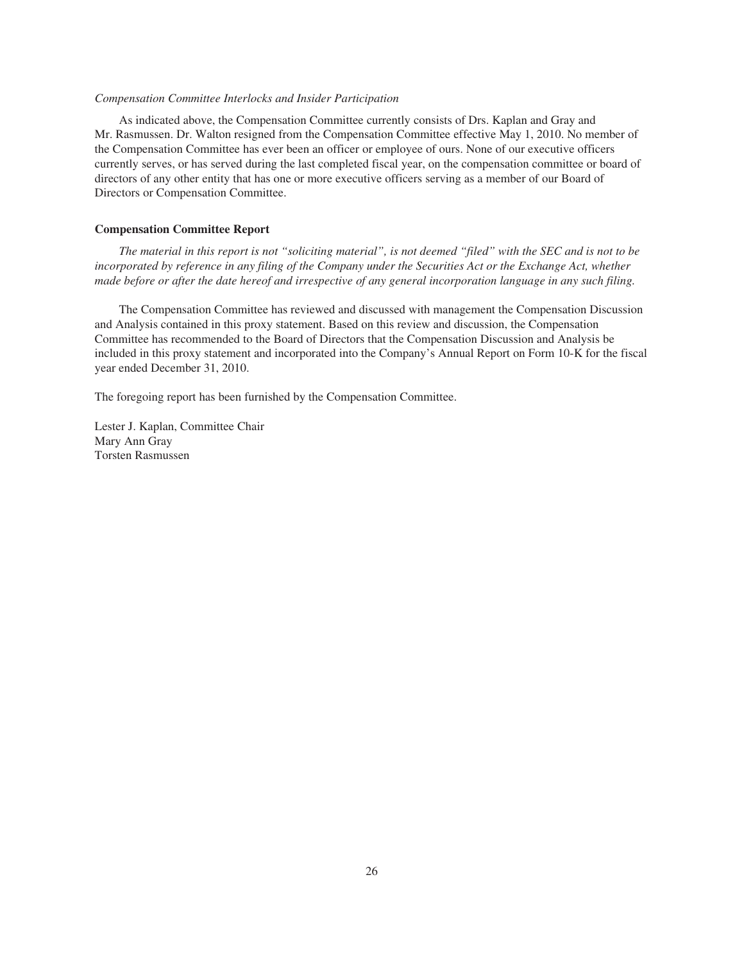### *Compensation Committee Interlocks and Insider Participation*

As indicated above, the Compensation Committee currently consists of Drs. Kaplan and Gray and Mr. Rasmussen. Dr. Walton resigned from the Compensation Committee effective May 1, 2010. No member of the Compensation Committee has ever been an officer or employee of ours. None of our executive officers currently serves, or has served during the last completed fiscal year, on the compensation committee or board of directors of any other entity that has one or more executive officers serving as a member of our Board of Directors or Compensation Committee.

### **Compensation Committee Report**

*The material in this report is not "soliciting material", is not deemed "filed" with the SEC and is not to be incorporated by reference in any filing of the Company under the Securities Act or the Exchange Act, whether made before or after the date hereof and irrespective of any general incorporation language in any such filing.*

The Compensation Committee has reviewed and discussed with management the Compensation Discussion and Analysis contained in this proxy statement. Based on this review and discussion, the Compensation Committee has recommended to the Board of Directors that the Compensation Discussion and Analysis be included in this proxy statement and incorporated into the Company's Annual Report on Form 10-K for the fiscal year ended December 31, 2010.

The foregoing report has been furnished by the Compensation Committee.

Lester J. Kaplan, Committee Chair Mary Ann Gray Torsten Rasmussen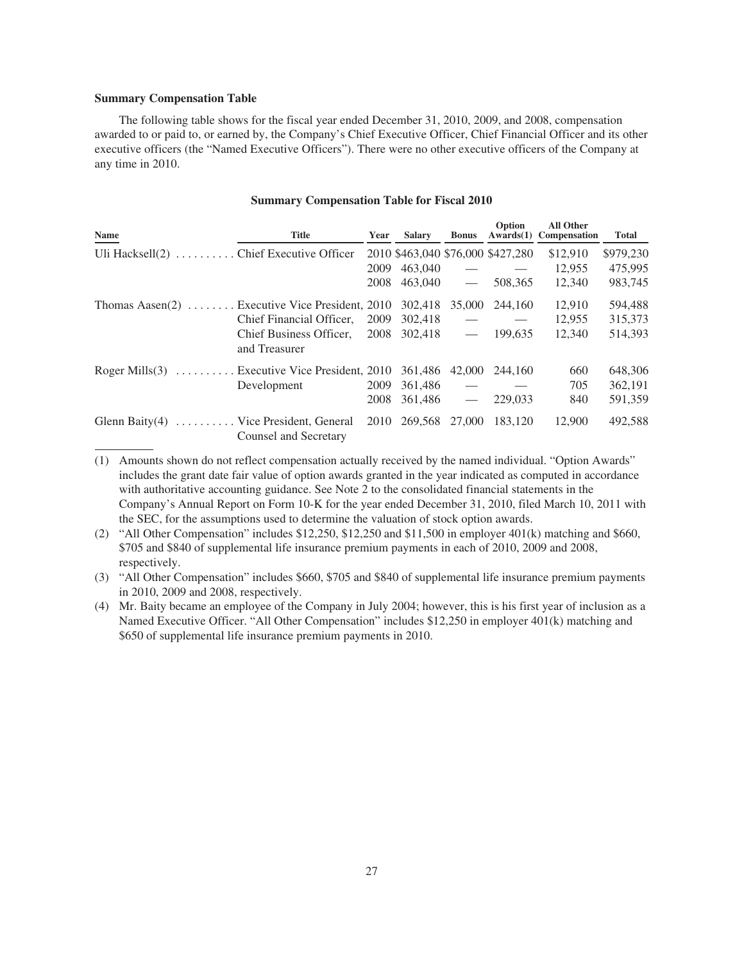## **Summary Compensation Table**

The following table shows for the fiscal year ended December 31, 2010, 2009, and 2008, compensation awarded to or paid to, or earned by, the Company's Chief Executive Officer, Chief Financial Officer and its other executive officers (the "Named Executive Officers"). There were no other executive officers of the Company at any time in 2010.

## **Summary Compensation Table for Fiscal 2010**

| <b>Name</b>                                       | <b>Title</b>                                     | Year | <b>Salary</b> | <b>Bonus</b>             | Option<br>Awards(1)               | <b>All Other</b><br><b>Compensation</b> | Total     |
|---------------------------------------------------|--------------------------------------------------|------|---------------|--------------------------|-----------------------------------|-----------------------------------------|-----------|
| Uli Hacksell $(2)$ Chief Executive Officer        |                                                  |      |               |                          | 2010 \$463,040 \$76,000 \$427,280 | \$12,910                                | \$979,230 |
|                                                   |                                                  | 2009 | 463,040       |                          |                                   | 12.955                                  | 475,995   |
|                                                   |                                                  | 2008 | 463,040       | $\hspace{0.05cm}$        | 508,365                           | 12,340                                  | 983,745   |
| Thomas Aasen $(2)$ Executive Vice President, 2010 |                                                  |      | 302,418       | 35,000                   | 244,160                           | 12,910                                  | 594,488   |
|                                                   | Chief Financial Officer,                         | 2009 | 302,418       |                          | $\hspace{0.1mm}-\hspace{0.1mm}$   | 12,955                                  | 315,373   |
|                                                   | Chief Business Officer,<br>and Treasurer         | 2008 | 302,418       | $\overline{\phantom{m}}$ | 199,635                           | 12,340                                  | 514,393   |
| Roger Mills $(3)$                                 | $\ldots$ Executive Vice President, 2010 361,486  |      |               | 42,000                   | 244,160                           | 660                                     | 648,306   |
|                                                   | Development                                      | 2009 | 361,486       |                          |                                   | 705                                     | 362,191   |
|                                                   |                                                  | 2008 | 361,486       |                          | 229,033                           | 840                                     | 591,359   |
| Glenn Baity $(4)$                                 | Vice President, General<br>Counsel and Secretary | 2010 | 269,568       | 27,000                   | 183.120                           | 12,900                                  | 492,588   |

<sup>(1)</sup> Amounts shown do not reflect compensation actually received by the named individual. "Option Awards" includes the grant date fair value of option awards granted in the year indicated as computed in accordance with authoritative accounting guidance. See Note 2 to the consolidated financial statements in the Company's Annual Report on Form 10-K for the year ended December 31, 2010, filed March 10, 2011 with the SEC, for the assumptions used to determine the valuation of stock option awards.

(3) "All Other Compensation" includes \$660, \$705 and \$840 of supplemental life insurance premium payments in 2010, 2009 and 2008, respectively.

(4) Mr. Baity became an employee of the Company in July 2004; however, this is his first year of inclusion as a Named Executive Officer. "All Other Compensation" includes \$12,250 in employer 401(k) matching and \$650 of supplemental life insurance premium payments in 2010.

<sup>(2) &</sup>quot;All Other Compensation" includes \$12,250, \$12,250 and \$11,500 in employer 401(k) matching and \$660, \$705 and \$840 of supplemental life insurance premium payments in each of 2010, 2009 and 2008, respectively.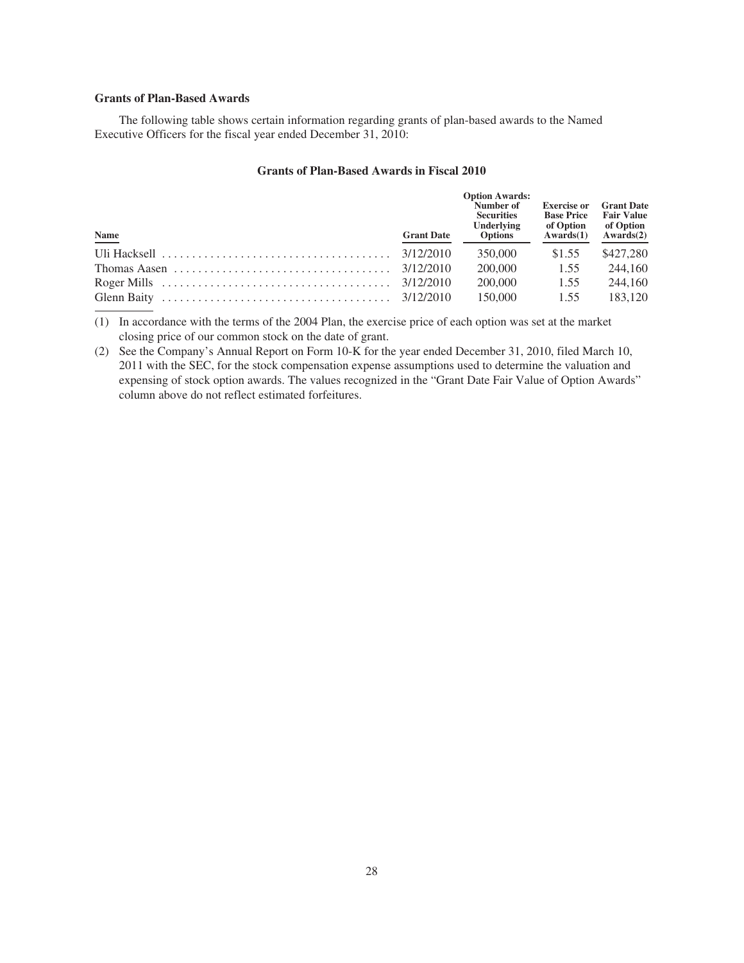## **Grants of Plan-Based Awards**

The following table shows certain information regarding grants of plan-based awards to the Named Executive Officers for the fiscal year ended December 31, 2010:

# **Grants of Plan-Based Awards in Fiscal 2010**

| $\underline{\mathbf{Name}}$ | <b>Grant Date</b> | <b>Option Awards:</b><br>Number of<br><b>Securities</b><br>Underlying<br><b>Options</b> | <b>Exercise or</b><br><b>Base Price</b><br>of Option<br>Awards(1) | <b>Grant Date</b><br><b>Fair Value</b><br>of Option<br>Awards(2) |
|-----------------------------|-------------------|-----------------------------------------------------------------------------------------|-------------------------------------------------------------------|------------------------------------------------------------------|
|                             |                   | 350,000                                                                                 | \$1.55                                                            | \$427,280                                                        |
|                             |                   | 200,000                                                                                 | 1.55                                                              | 244,160                                                          |
|                             |                   | 200,000                                                                                 | 1.55                                                              | 244,160                                                          |
|                             |                   | 150,000                                                                                 | 1.55                                                              | 183.120                                                          |

(1) In accordance with the terms of the 2004 Plan, the exercise price of each option was set at the market closing price of our common stock on the date of grant.

(2) See the Company's Annual Report on Form 10-K for the year ended December 31, 2010, filed March 10, 2011 with the SEC, for the stock compensation expense assumptions used to determine the valuation and expensing of stock option awards. The values recognized in the "Grant Date Fair Value of Option Awards" column above do not reflect estimated forfeitures.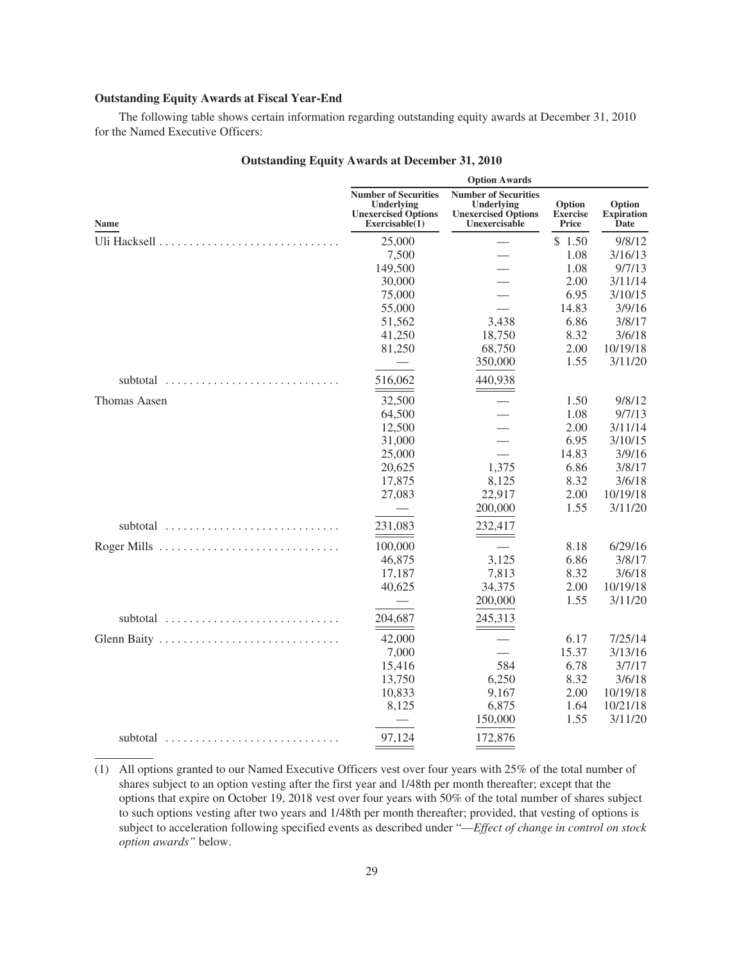## **Outstanding Equity Awards at Fiscal Year-End**

The following table shows certain information regarding outstanding equity awards at December 31, 2010 for the Named Executive Officers:

|              |                                                                                            | <b>Option Awards</b>                                                                     |                                    |                                     |
|--------------|--------------------------------------------------------------------------------------------|------------------------------------------------------------------------------------------|------------------------------------|-------------------------------------|
| <b>Name</b>  | <b>Number of Securities</b><br>Underlying<br><b>Unexercised Options</b><br>Exerciseable(1) | <b>Number of Securities</b><br>Underlying<br><b>Unexercised Options</b><br>Unexercisable | Option<br><b>Exercise</b><br>Price | Option<br><b>Expiration</b><br>Date |
|              | 25,000                                                                                     |                                                                                          | \$1.50                             | 9/8/12                              |
|              | 7,500                                                                                      |                                                                                          | 1.08                               | 3/16/13                             |
|              | 149,500                                                                                    |                                                                                          | 1.08                               | 9/7/13                              |
|              | 30,000                                                                                     |                                                                                          | 2.00                               | 3/11/14                             |
|              | 75,000                                                                                     |                                                                                          | 6.95                               | 3/10/15                             |
|              | 55,000                                                                                     |                                                                                          | 14.83                              | 3/9/16                              |
|              | 51,562                                                                                     | 3,438                                                                                    | 6.86                               | 3/8/17                              |
|              | 41,250                                                                                     | 18,750                                                                                   | 8.32                               | 3/6/18                              |
|              | 81,250                                                                                     | 68,750                                                                                   | 2.00                               | 10/19/18                            |
|              |                                                                                            | 350,000                                                                                  | 1.55                               | 3/11/20                             |
| subtotal     | 516,062                                                                                    | 440,938                                                                                  |                                    |                                     |
| Thomas Aasen | 32,500                                                                                     |                                                                                          | 1.50                               | 9/8/12                              |
|              | 64,500                                                                                     |                                                                                          | 1.08                               | 9/7/13                              |
|              | 12,500                                                                                     |                                                                                          | 2.00                               | 3/11/14                             |
|              | 31,000                                                                                     |                                                                                          | 6.95                               | 3/10/15                             |
|              | 25,000                                                                                     |                                                                                          | 14.83                              | 3/9/16                              |
|              | 20,625                                                                                     | 1,375                                                                                    | 6.86                               | 3/8/17                              |
|              | 17,875                                                                                     | 8,125                                                                                    | 8.32                               | 3/6/18                              |
|              | 27,083                                                                                     | 22,917                                                                                   | 2.00                               | 10/19/18                            |
|              |                                                                                            | 200,000                                                                                  | 1.55                               | 3/11/20                             |
| subtotal     | 231,083                                                                                    | 232,417                                                                                  |                                    |                                     |
| Roger Mills  | 100,000                                                                                    |                                                                                          | 8.18                               | 6/29/16                             |
|              | 46,875                                                                                     | 3,125                                                                                    | 6.86                               | 3/8/17                              |
|              | 17,187                                                                                     | 7,813                                                                                    | 8.32                               | 3/6/18                              |
|              | 40,625                                                                                     | 34,375                                                                                   | 2.00                               | 10/19/18                            |
|              |                                                                                            | 200,000                                                                                  | 1.55                               | 3/11/20                             |
| subtotal     | 204,687                                                                                    | 245,313<br>$ -$                                                                          |                                    |                                     |
| Glenn Baity  | 42,000                                                                                     |                                                                                          | 6.17                               | 7/25/14                             |
|              | 7,000                                                                                      |                                                                                          | 15.37                              | 3/13/16                             |
|              | 15,416                                                                                     | 584                                                                                      | 6.78                               | 3/7/17                              |
|              | 13,750                                                                                     | 6,250                                                                                    | 8.32                               | 3/6/18                              |
|              | 10,833                                                                                     | 9,167                                                                                    | 2.00                               | 10/19/18                            |
|              | 8,125                                                                                      | 6,875                                                                                    | 1.64                               | 10/21/18                            |
|              |                                                                                            | 150,000                                                                                  | 1.55                               | 3/11/20                             |
| subtotal     | 97,124                                                                                     | 172,876                                                                                  |                                    |                                     |

# **Outstanding Equity Awards at December 31, 2010**

<sup>(1)</sup> All options granted to our Named Executive Officers vest over four years with 25% of the total number of shares subject to an option vesting after the first year and 1/48th per month thereafter; except that the options that expire on October 19, 2018 vest over four years with 50% of the total number of shares subject to such options vesting after two years and 1/48th per month thereafter; provided, that vesting of options is subject to acceleration following specified events as described under "—*Effect of change in control on stock option awards"* below.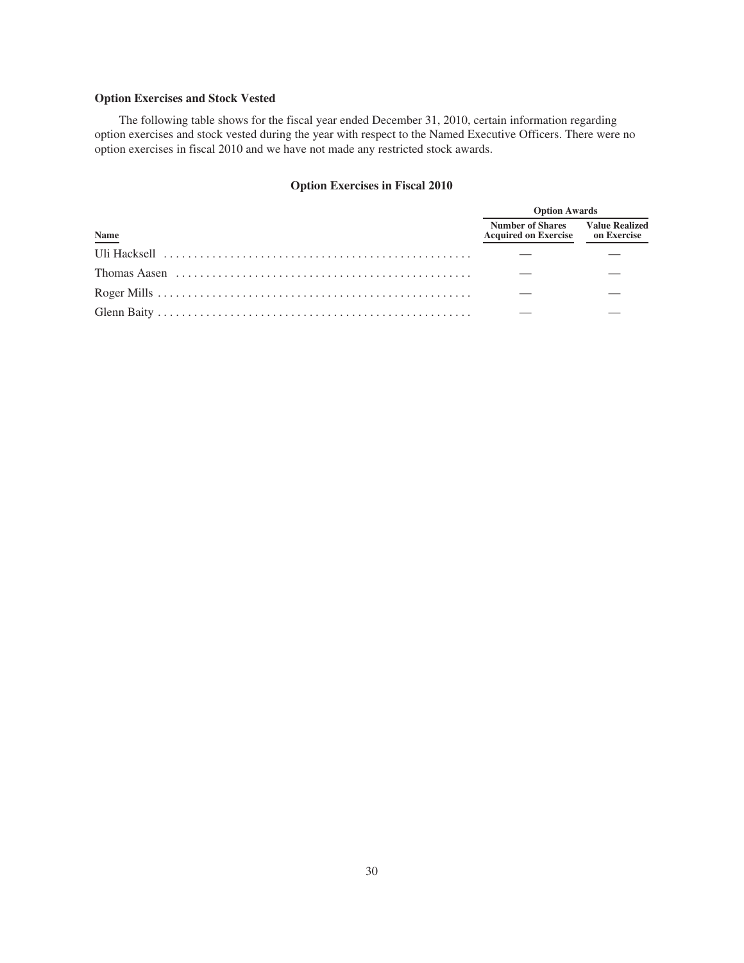# **Option Exercises and Stock Vested**

The following table shows for the fiscal year ended December 31, 2010, certain information regarding option exercises and stock vested during the year with respect to the Named Executive Officers. There were no option exercises in fiscal 2010 and we have not made any restricted stock awards.

# **Option Exercises in Fiscal 2010**

|                                                                                                                | <b>Option Awards</b>                                                               |  |  |
|----------------------------------------------------------------------------------------------------------------|------------------------------------------------------------------------------------|--|--|
| Name                                                                                                           | <b>Number of Shares</b> Value Realized<br><b>Acquired on Exercise </b> on Exercise |  |  |
|                                                                                                                |                                                                                    |  |  |
| Thomas Aasen $\dots \dots \dots \dots \dots \dots \dots \dots \dots \dots \dots \dots \dots \dots \dots \dots$ |                                                                                    |  |  |
|                                                                                                                |                                                                                    |  |  |
|                                                                                                                |                                                                                    |  |  |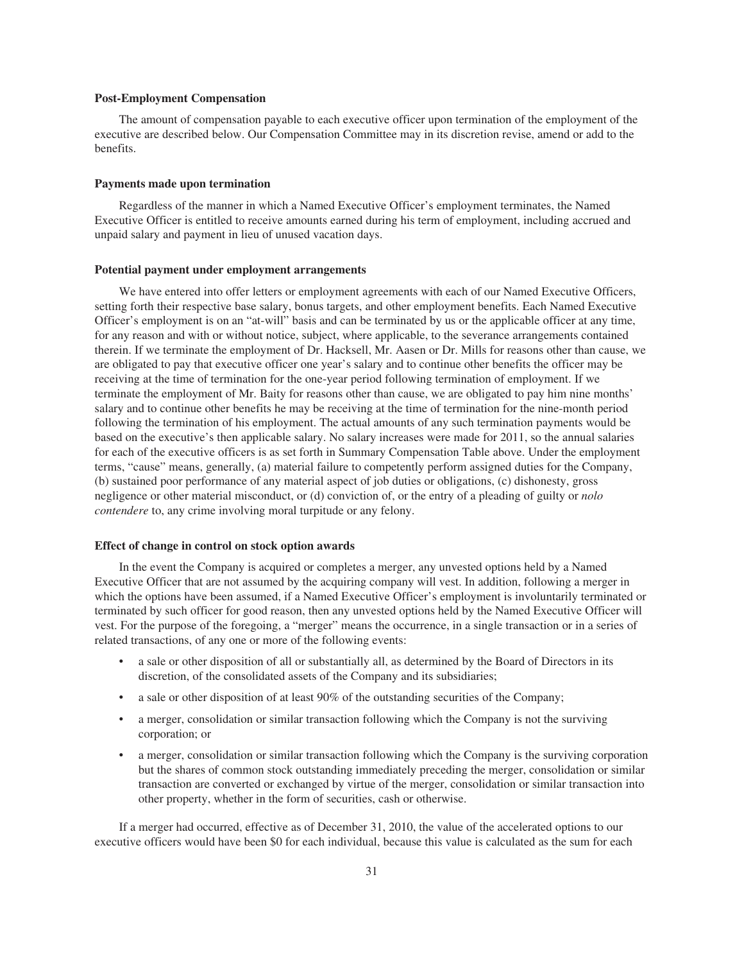### **Post-Employment Compensation**

The amount of compensation payable to each executive officer upon termination of the employment of the executive are described below. Our Compensation Committee may in its discretion revise, amend or add to the benefits.

#### **Payments made upon termination**

Regardless of the manner in which a Named Executive Officer's employment terminates, the Named Executive Officer is entitled to receive amounts earned during his term of employment, including accrued and unpaid salary and payment in lieu of unused vacation days.

### **Potential payment under employment arrangements**

We have entered into offer letters or employment agreements with each of our Named Executive Officers, setting forth their respective base salary, bonus targets, and other employment benefits. Each Named Executive Officer's employment is on an "at-will" basis and can be terminated by us or the applicable officer at any time, for any reason and with or without notice, subject, where applicable, to the severance arrangements contained therein. If we terminate the employment of Dr. Hacksell, Mr. Aasen or Dr. Mills for reasons other than cause, we are obligated to pay that executive officer one year's salary and to continue other benefits the officer may be receiving at the time of termination for the one-year period following termination of employment. If we terminate the employment of Mr. Baity for reasons other than cause, we are obligated to pay him nine months' salary and to continue other benefits he may be receiving at the time of termination for the nine-month period following the termination of his employment. The actual amounts of any such termination payments would be based on the executive's then applicable salary. No salary increases were made for 2011, so the annual salaries for each of the executive officers is as set forth in Summary Compensation Table above. Under the employment terms, "cause" means, generally, (a) material failure to competently perform assigned duties for the Company, (b) sustained poor performance of any material aspect of job duties or obligations, (c) dishonesty, gross negligence or other material misconduct, or (d) conviction of, or the entry of a pleading of guilty or *nolo contendere* to, any crime involving moral turpitude or any felony.

#### **Effect of change in control on stock option awards**

In the event the Company is acquired or completes a merger, any unvested options held by a Named Executive Officer that are not assumed by the acquiring company will vest. In addition, following a merger in which the options have been assumed, if a Named Executive Officer's employment is involuntarily terminated or terminated by such officer for good reason, then any unvested options held by the Named Executive Officer will vest. For the purpose of the foregoing, a "merger" means the occurrence, in a single transaction or in a series of related transactions, of any one or more of the following events:

- a sale or other disposition of all or substantially all, as determined by the Board of Directors in its discretion, of the consolidated assets of the Company and its subsidiaries;
- a sale or other disposition of at least 90% of the outstanding securities of the Company;
- a merger, consolidation or similar transaction following which the Company is not the surviving corporation; or
- a merger, consolidation or similar transaction following which the Company is the surviving corporation but the shares of common stock outstanding immediately preceding the merger, consolidation or similar transaction are converted or exchanged by virtue of the merger, consolidation or similar transaction into other property, whether in the form of securities, cash or otherwise.

If a merger had occurred, effective as of December 31, 2010, the value of the accelerated options to our executive officers would have been \$0 for each individual, because this value is calculated as the sum for each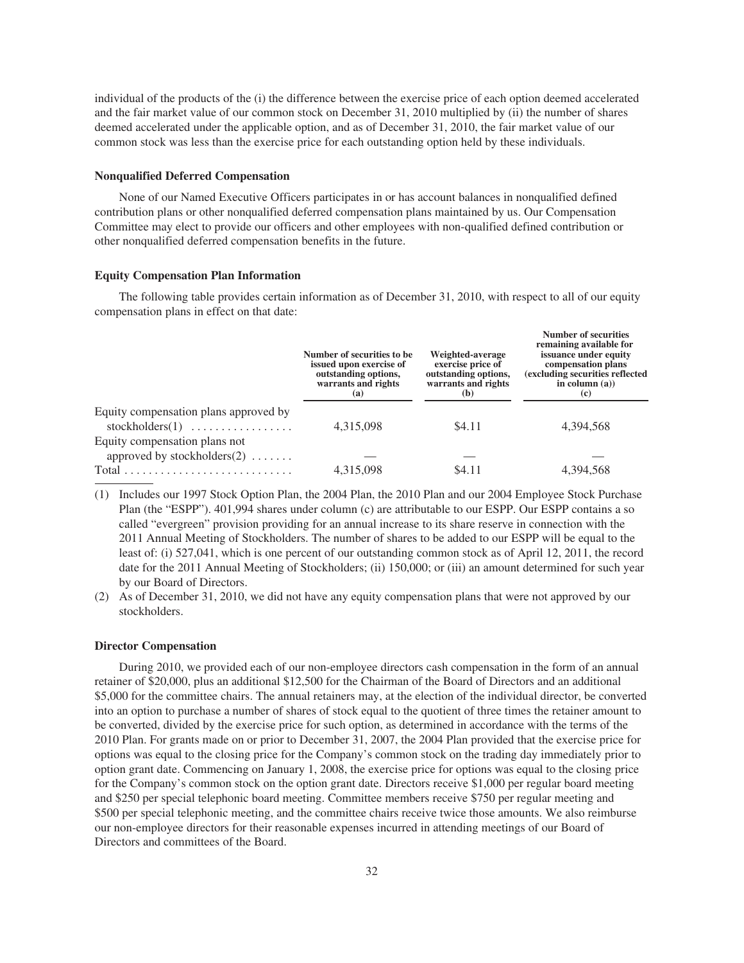individual of the products of the (i) the difference between the exercise price of each option deemed accelerated and the fair market value of our common stock on December 31, 2010 multiplied by (ii) the number of shares deemed accelerated under the applicable option, and as of December 31, 2010, the fair market value of our common stock was less than the exercise price for each outstanding option held by these individuals.

### **Nonqualified Deferred Compensation**

None of our Named Executive Officers participates in or has account balances in nonqualified defined contribution plans or other nonqualified deferred compensation plans maintained by us. Our Compensation Committee may elect to provide our officers and other employees with non-qualified defined contribution or other nonqualified deferred compensation benefits in the future.

## **Equity Compensation Plan Information**

The following table provides certain information as of December 31, 2010, with respect to all of our equity compensation plans in effect on that date:

**Number of securities**

|                                                                                | Number of securities to be.<br>issued upon exercise of<br>outstanding options,<br>warrants and rights<br>(a) | Weighted-average<br>exercise price of<br>outstanding options,<br>warrants and rights<br>(b) | Number of securities<br>remaining available for<br>issuance under equity<br>compensation plans<br>(excluding securities reflected<br>in column $(a)$ )<br>$\left( \mathbf{c} \right)$ |
|--------------------------------------------------------------------------------|--------------------------------------------------------------------------------------------------------------|---------------------------------------------------------------------------------------------|---------------------------------------------------------------------------------------------------------------------------------------------------------------------------------------|
| Equity compensation plans approved by                                          | 4,315,098                                                                                                    | \$4.11                                                                                      | 4,394,568                                                                                                                                                                             |
| $stockholders(1) \ldots \ldots \ldots \ldots$<br>Equity compensation plans not |                                                                                                              |                                                                                             |                                                                                                                                                                                       |
| approved by stockholders $(2)$                                                 |                                                                                                              |                                                                                             |                                                                                                                                                                                       |
| $Total \dots \dots \dots \dots \dots \dots \dots \dots \dots \dots$            | 4,315,098                                                                                                    | \$4.11                                                                                      | 4,394,568                                                                                                                                                                             |
|                                                                                |                                                                                                              |                                                                                             |                                                                                                                                                                                       |

(1) Includes our 1997 Stock Option Plan, the 2004 Plan, the 2010 Plan and our 2004 Employee Stock Purchase Plan (the "ESPP"). 401,994 shares under column (c) are attributable to our ESPP. Our ESPP contains a so called "evergreen" provision providing for an annual increase to its share reserve in connection with the 2011 Annual Meeting of Stockholders. The number of shares to be added to our ESPP will be equal to the least of: (i) 527,041, which is one percent of our outstanding common stock as of April 12, 2011, the record date for the 2011 Annual Meeting of Stockholders; (ii) 150,000; or (iii) an amount determined for such year by our Board of Directors.

(2) As of December 31, 2010, we did not have any equity compensation plans that were not approved by our stockholders.

### **Director Compensation**

During 2010, we provided each of our non-employee directors cash compensation in the form of an annual retainer of \$20,000, plus an additional \$12,500 for the Chairman of the Board of Directors and an additional \$5,000 for the committee chairs. The annual retainers may, at the election of the individual director, be converted into an option to purchase a number of shares of stock equal to the quotient of three times the retainer amount to be converted, divided by the exercise price for such option, as determined in accordance with the terms of the 2010 Plan. For grants made on or prior to December 31, 2007, the 2004 Plan provided that the exercise price for options was equal to the closing price for the Company's common stock on the trading day immediately prior to option grant date. Commencing on January 1, 2008, the exercise price for options was equal to the closing price for the Company's common stock on the option grant date. Directors receive \$1,000 per regular board meeting and \$250 per special telephonic board meeting. Committee members receive \$750 per regular meeting and \$500 per special telephonic meeting, and the committee chairs receive twice those amounts. We also reimburse our non-employee directors for their reasonable expenses incurred in attending meetings of our Board of Directors and committees of the Board.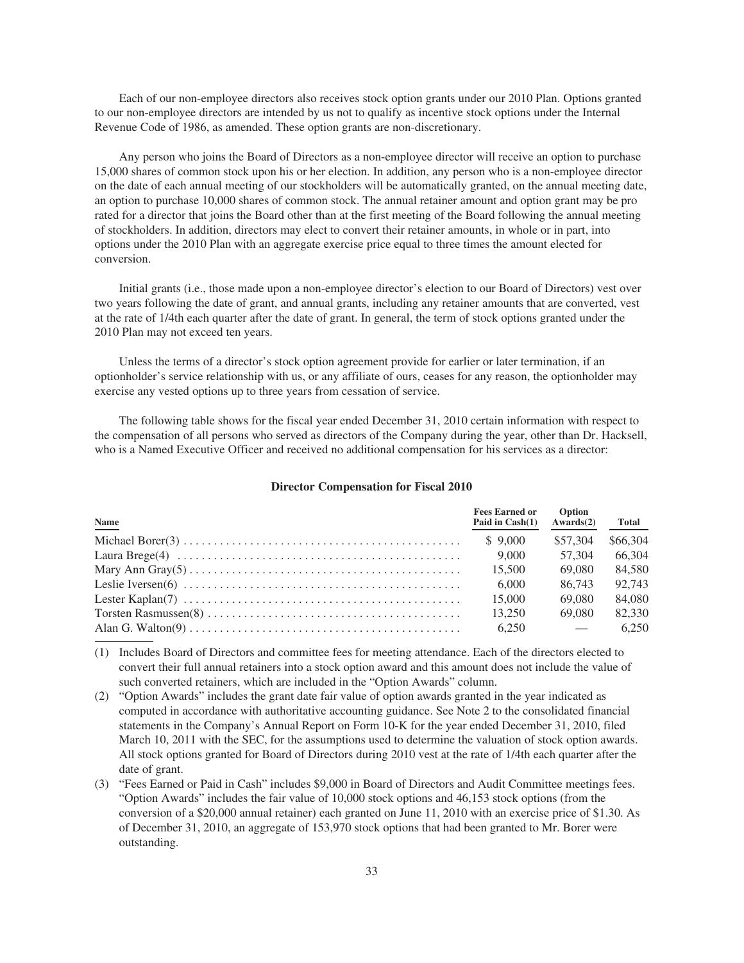Each of our non-employee directors also receives stock option grants under our 2010 Plan. Options granted to our non-employee directors are intended by us not to qualify as incentive stock options under the Internal Revenue Code of 1986, as amended. These option grants are non-discretionary.

Any person who joins the Board of Directors as a non-employee director will receive an option to purchase 15,000 shares of common stock upon his or her election. In addition, any person who is a non-employee director on the date of each annual meeting of our stockholders will be automatically granted, on the annual meeting date, an option to purchase 10,000 shares of common stock. The annual retainer amount and option grant may be pro rated for a director that joins the Board other than at the first meeting of the Board following the annual meeting of stockholders. In addition, directors may elect to convert their retainer amounts, in whole or in part, into options under the 2010 Plan with an aggregate exercise price equal to three times the amount elected for conversion.

Initial grants (i.e., those made upon a non-employee director's election to our Board of Directors) vest over two years following the date of grant, and annual grants, including any retainer amounts that are converted, vest at the rate of 1/4th each quarter after the date of grant. In general, the term of stock options granted under the 2010 Plan may not exceed ten years.

Unless the terms of a director's stock option agreement provide for earlier or later termination, if an optionholder's service relationship with us, or any affiliate of ours, ceases for any reason, the optionholder may exercise any vested options up to three years from cessation of service.

The following table shows for the fiscal year ended December 31, 2010 certain information with respect to the compensation of all persons who served as directors of the Company during the year, other than Dr. Hacksell, who is a Named Executive Officer and received no additional compensation for his services as a director:

| <b>Name</b>                                                                                             | <b>Fees Earned or</b><br>Paid in $Cash(1)$ | Option<br>Awards(2) | <b>Total</b> |
|---------------------------------------------------------------------------------------------------------|--------------------------------------------|---------------------|--------------|
|                                                                                                         | \$ 9.000                                   | \$57.304            | \$66,304     |
|                                                                                                         | 9.000                                      | 57.304              | 66.304       |
|                                                                                                         | 15,500                                     | 69.080              | 84.580       |
|                                                                                                         | 6.000                                      | 86.743              | 92.743       |
|                                                                                                         | 15,000                                     | 69.080              | 84,080       |
|                                                                                                         | 13.250                                     | 69.080              | 82.330       |
| Alan G. Walton(9) $\dots \dots \dots \dots \dots \dots \dots \dots \dots \dots \dots \dots \dots \dots$ | 6.250                                      |                     | 6.250        |

### **Director Compensation for Fiscal 2010**

(1) Includes Board of Directors and committee fees for meeting attendance. Each of the directors elected to convert their full annual retainers into a stock option award and this amount does not include the value of such converted retainers, which are included in the "Option Awards" column.

- (2) "Option Awards" includes the grant date fair value of option awards granted in the year indicated as computed in accordance with authoritative accounting guidance. See Note 2 to the consolidated financial statements in the Company's Annual Report on Form 10-K for the year ended December 31, 2010, filed March 10, 2011 with the SEC, for the assumptions used to determine the valuation of stock option awards. All stock options granted for Board of Directors during 2010 vest at the rate of 1/4th each quarter after the date of grant.
- (3) "Fees Earned or Paid in Cash" includes \$9,000 in Board of Directors and Audit Committee meetings fees. "Option Awards" includes the fair value of 10,000 stock options and 46,153 stock options (from the conversion of a \$20,000 annual retainer) each granted on June 11, 2010 with an exercise price of \$1.30. As of December 31, 2010, an aggregate of 153,970 stock options that had been granted to Mr. Borer were outstanding.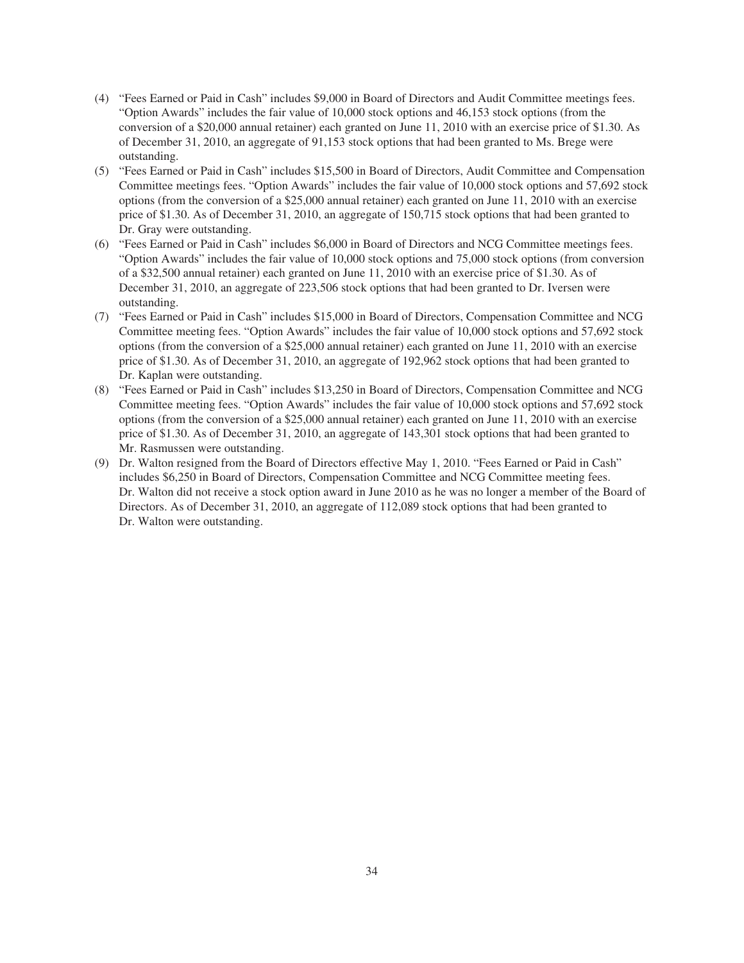- (4) "Fees Earned or Paid in Cash" includes \$9,000 in Board of Directors and Audit Committee meetings fees. "Option Awards" includes the fair value of 10,000 stock options and 46,153 stock options (from the conversion of a \$20,000 annual retainer) each granted on June 11, 2010 with an exercise price of \$1.30. As of December 31, 2010, an aggregate of 91,153 stock options that had been granted to Ms. Brege were outstanding.
- (5) "Fees Earned or Paid in Cash" includes \$15,500 in Board of Directors, Audit Committee and Compensation Committee meetings fees. "Option Awards" includes the fair value of 10,000 stock options and 57,692 stock options (from the conversion of a \$25,000 annual retainer) each granted on June 11, 2010 with an exercise price of \$1.30. As of December 31, 2010, an aggregate of 150,715 stock options that had been granted to Dr. Gray were outstanding.
- (6) "Fees Earned or Paid in Cash" includes \$6,000 in Board of Directors and NCG Committee meetings fees. "Option Awards" includes the fair value of 10,000 stock options and 75,000 stock options (from conversion of a \$32,500 annual retainer) each granted on June 11, 2010 with an exercise price of \$1.30. As of December 31, 2010, an aggregate of 223,506 stock options that had been granted to Dr. Iversen were outstanding.
- (7) "Fees Earned or Paid in Cash" includes \$15,000 in Board of Directors, Compensation Committee and NCG Committee meeting fees. "Option Awards" includes the fair value of 10,000 stock options and 57,692 stock options (from the conversion of a \$25,000 annual retainer) each granted on June 11, 2010 with an exercise price of \$1.30. As of December 31, 2010, an aggregate of 192,962 stock options that had been granted to Dr. Kaplan were outstanding.
- (8) "Fees Earned or Paid in Cash" includes \$13,250 in Board of Directors, Compensation Committee and NCG Committee meeting fees. "Option Awards" includes the fair value of 10,000 stock options and 57,692 stock options (from the conversion of a \$25,000 annual retainer) each granted on June 11, 2010 with an exercise price of \$1.30. As of December 31, 2010, an aggregate of 143,301 stock options that had been granted to Mr. Rasmussen were outstanding.
- (9) Dr. Walton resigned from the Board of Directors effective May 1, 2010. "Fees Earned or Paid in Cash" includes \$6,250 in Board of Directors, Compensation Committee and NCG Committee meeting fees. Dr. Walton did not receive a stock option award in June 2010 as he was no longer a member of the Board of Directors. As of December 31, 2010, an aggregate of 112,089 stock options that had been granted to Dr. Walton were outstanding.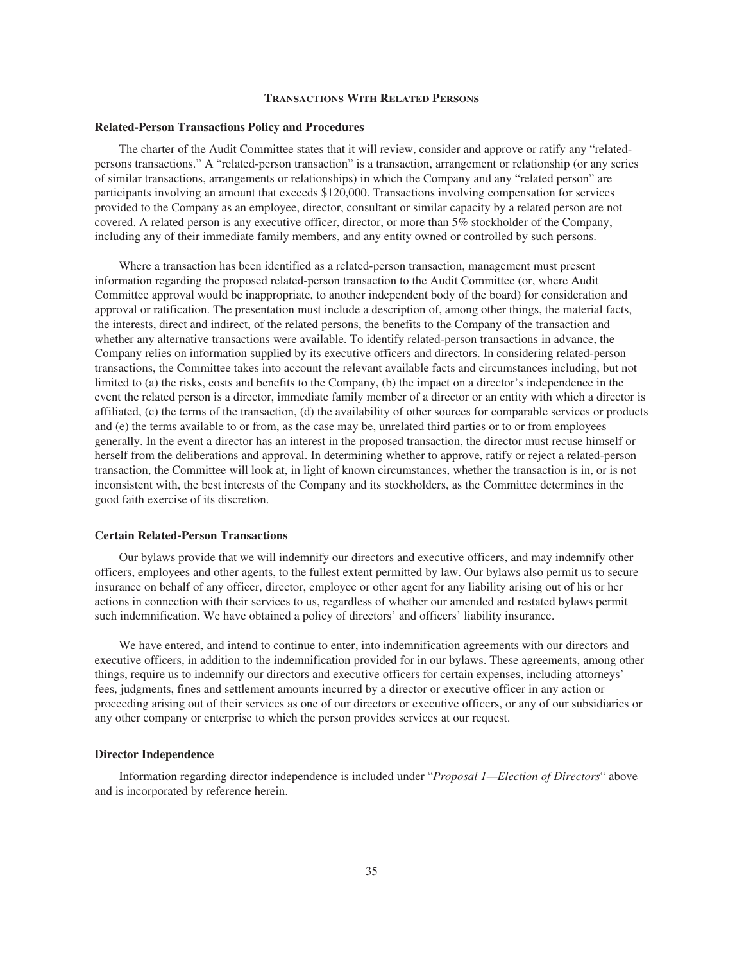### **TRANSACTIONS WITH RELATED PERSONS**

#### **Related-Person Transactions Policy and Procedures**

The charter of the Audit Committee states that it will review, consider and approve or ratify any "relatedpersons transactions." A "related-person transaction" is a transaction, arrangement or relationship (or any series of similar transactions, arrangements or relationships) in which the Company and any "related person" are participants involving an amount that exceeds \$120,000. Transactions involving compensation for services provided to the Company as an employee, director, consultant or similar capacity by a related person are not covered. A related person is any executive officer, director, or more than 5% stockholder of the Company, including any of their immediate family members, and any entity owned or controlled by such persons.

Where a transaction has been identified as a related-person transaction, management must present information regarding the proposed related-person transaction to the Audit Committee (or, where Audit Committee approval would be inappropriate, to another independent body of the board) for consideration and approval or ratification. The presentation must include a description of, among other things, the material facts, the interests, direct and indirect, of the related persons, the benefits to the Company of the transaction and whether any alternative transactions were available. To identify related-person transactions in advance, the Company relies on information supplied by its executive officers and directors. In considering related-person transactions, the Committee takes into account the relevant available facts and circumstances including, but not limited to (a) the risks, costs and benefits to the Company, (b) the impact on a director's independence in the event the related person is a director, immediate family member of a director or an entity with which a director is affiliated, (c) the terms of the transaction, (d) the availability of other sources for comparable services or products and (e) the terms available to or from, as the case may be, unrelated third parties or to or from employees generally. In the event a director has an interest in the proposed transaction, the director must recuse himself or herself from the deliberations and approval. In determining whether to approve, ratify or reject a related-person transaction, the Committee will look at, in light of known circumstances, whether the transaction is in, or is not inconsistent with, the best interests of the Company and its stockholders, as the Committee determines in the good faith exercise of its discretion.

### **Certain Related-Person Transactions**

Our bylaws provide that we will indemnify our directors and executive officers, and may indemnify other officers, employees and other agents, to the fullest extent permitted by law. Our bylaws also permit us to secure insurance on behalf of any officer, director, employee or other agent for any liability arising out of his or her actions in connection with their services to us, regardless of whether our amended and restated bylaws permit such indemnification. We have obtained a policy of directors' and officers' liability insurance.

We have entered, and intend to continue to enter, into indemnification agreements with our directors and executive officers, in addition to the indemnification provided for in our bylaws. These agreements, among other things, require us to indemnify our directors and executive officers for certain expenses, including attorneys' fees, judgments, fines and settlement amounts incurred by a director or executive officer in any action or proceeding arising out of their services as one of our directors or executive officers, or any of our subsidiaries or any other company or enterprise to which the person provides services at our request.

## **Director Independence**

Information regarding director independence is included under "*Proposal 1—Election of Directors*" above and is incorporated by reference herein.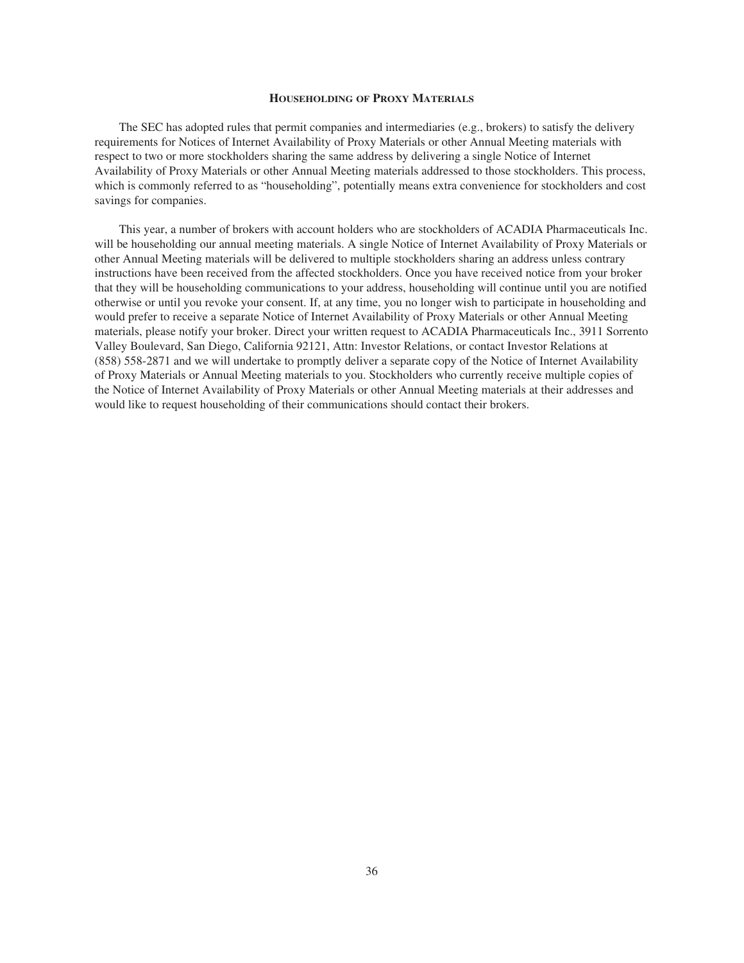## **HOUSEHOLDING OF PROXY MATERIALS**

The SEC has adopted rules that permit companies and intermediaries (e.g., brokers) to satisfy the delivery requirements for Notices of Internet Availability of Proxy Materials or other Annual Meeting materials with respect to two or more stockholders sharing the same address by delivering a single Notice of Internet Availability of Proxy Materials or other Annual Meeting materials addressed to those stockholders. This process, which is commonly referred to as "householding", potentially means extra convenience for stockholders and cost savings for companies.

This year, a number of brokers with account holders who are stockholders of ACADIA Pharmaceuticals Inc. will be householding our annual meeting materials. A single Notice of Internet Availability of Proxy Materials or other Annual Meeting materials will be delivered to multiple stockholders sharing an address unless contrary instructions have been received from the affected stockholders. Once you have received notice from your broker that they will be householding communications to your address, householding will continue until you are notified otherwise or until you revoke your consent. If, at any time, you no longer wish to participate in householding and would prefer to receive a separate Notice of Internet Availability of Proxy Materials or other Annual Meeting materials, please notify your broker. Direct your written request to ACADIA Pharmaceuticals Inc., 3911 Sorrento Valley Boulevard, San Diego, California 92121, Attn: Investor Relations, or contact Investor Relations at (858) 558-2871 and we will undertake to promptly deliver a separate copy of the Notice of Internet Availability of Proxy Materials or Annual Meeting materials to you. Stockholders who currently receive multiple copies of the Notice of Internet Availability of Proxy Materials or other Annual Meeting materials at their addresses and would like to request householding of their communications should contact their brokers.